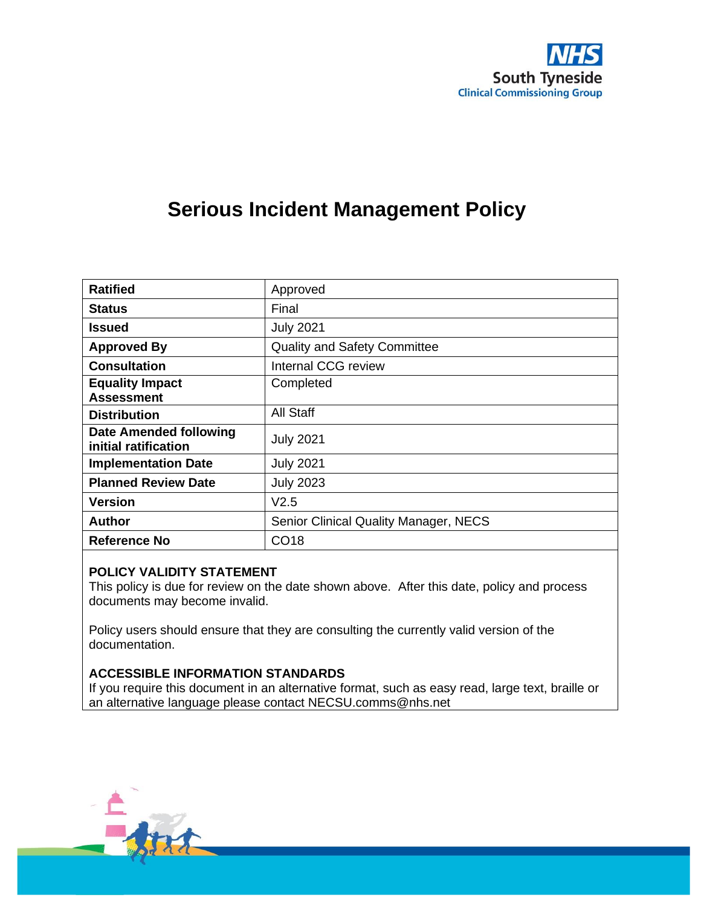

# **Serious Incident Management Policy**

| <b>Ratified</b>                                       | Approved                                     |  |  |
|-------------------------------------------------------|----------------------------------------------|--|--|
| <b>Status</b>                                         | Final                                        |  |  |
| <b>Issued</b>                                         | <b>July 2021</b>                             |  |  |
| <b>Approved By</b>                                    | <b>Quality and Safety Committee</b>          |  |  |
| <b>Consultation</b>                                   | Internal CCG review                          |  |  |
| <b>Equality Impact</b><br><b>Assessment</b>           | Completed                                    |  |  |
| <b>Distribution</b>                                   | All Staff                                    |  |  |
| <b>Date Amended following</b><br>initial ratification | <b>July 2021</b>                             |  |  |
| <b>Implementation Date</b>                            | <b>July 2021</b>                             |  |  |
| <b>Planned Review Date</b>                            | <b>July 2023</b>                             |  |  |
| <b>Version</b>                                        | V2.5                                         |  |  |
| <b>Author</b>                                         | <b>Senior Clinical Quality Manager, NECS</b> |  |  |
| Reference No                                          | CO <sub>18</sub>                             |  |  |

#### **POLICY VALIDITY STATEMENT**

This policy is due for review on the date shown above. After this date, policy and process documents may become invalid.

Policy users should ensure that they are consulting the currently valid version of the documentation.

#### **ACCESSIBLE INFORMATION STANDARDS**

If you require this document in an alternative format, such as easy read, large text, braille or an alternative language please contact NECSU.comms@nhs.net

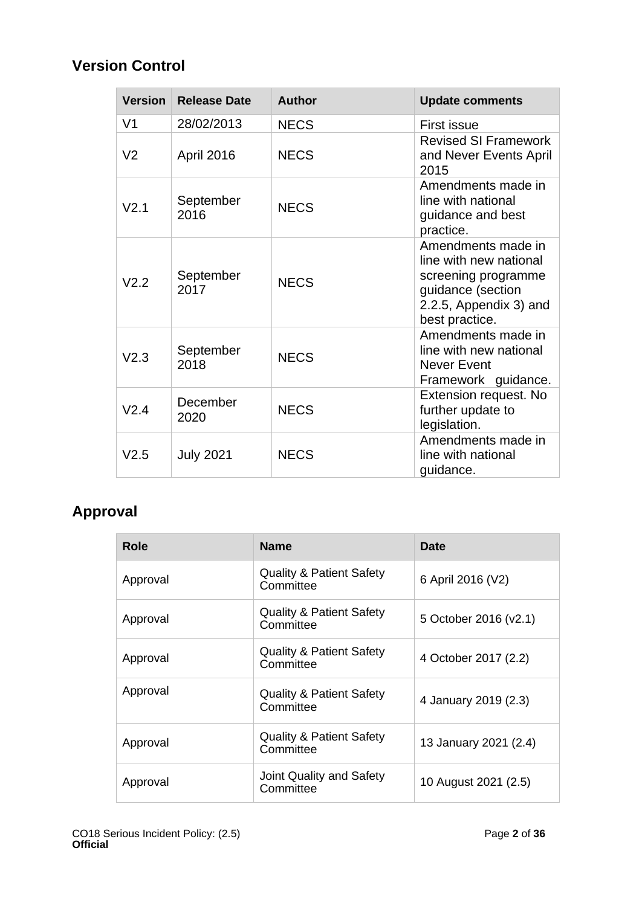### **Version Control**

| <b>Version</b>   | <b>Release Date</b> | <b>Author</b> | <b>Update comments</b>                                                                                                               |
|------------------|---------------------|---------------|--------------------------------------------------------------------------------------------------------------------------------------|
| V <sub>1</sub>   | 28/02/2013          | <b>NECS</b>   | <b>First issue</b>                                                                                                                   |
| V <sub>2</sub>   | April 2016          | <b>NECS</b>   | <b>Revised SI Framework</b><br>and Never Events April<br>2015                                                                        |
| V <sub>2.1</sub> | September<br>2016   | <b>NECS</b>   | Amendments made in<br>line with national<br>guidance and best<br>practice.                                                           |
| V2.2             | September<br>2017   | <b>NECS</b>   | Amendments made in<br>line with new national<br>screening programme<br>guidance (section<br>2.2.5, Appendix 3) and<br>best practice. |
| V2.3             | September<br>2018   | <b>NECS</b>   | Amendments made in<br>line with new national<br>Never Event<br>Framework guidance.                                                   |
| V2.4             | December<br>2020    | <b>NECS</b>   | Extension request. No<br>further update to<br>legislation.                                                                           |
| V2.5             | <b>July 2021</b>    | <b>NECS</b>   | Amendments made in<br>line with national<br>guidance.                                                                                |

### **Approval**

| Role     | <b>Name</b>                                      | <b>Date</b>           |
|----------|--------------------------------------------------|-----------------------|
| Approval | <b>Quality &amp; Patient Safety</b><br>Committee | 6 April 2016 (V2)     |
| Approval | <b>Quality &amp; Patient Safety</b><br>Committee | 5 October 2016 (v2.1) |
| Approval | <b>Quality &amp; Patient Safety</b><br>Committee | 4 October 2017 (2.2)  |
| Approval | <b>Quality &amp; Patient Safety</b><br>Committee | 4 January 2019 (2.3)  |
| Approval | <b>Quality &amp; Patient Safety</b><br>Committee | 13 January 2021 (2.4) |
| Approval | Joint Quality and Safety<br>Committee            | 10 August 2021 (2.5)  |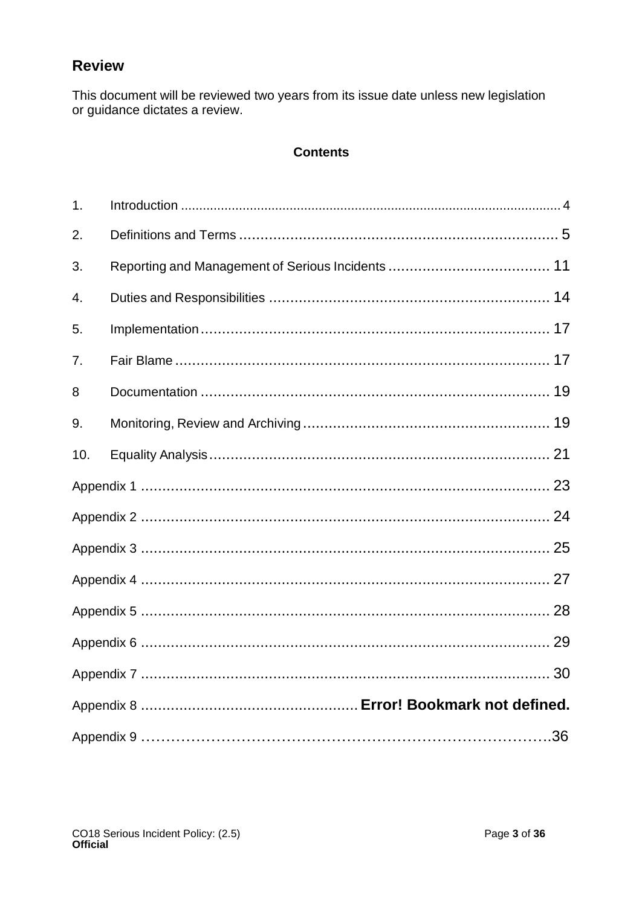### **Review**

This document will be reviewed two years from its issue date unless new legislation or guidance dictates a review.

### **Contents**

| 1.  |  |
|-----|--|
| 2.  |  |
| 3.  |  |
| 4.  |  |
| 5.  |  |
| 7.  |  |
| 8   |  |
| 9.  |  |
| 10. |  |
|     |  |
|     |  |
|     |  |
|     |  |
|     |  |
|     |  |
|     |  |
|     |  |
|     |  |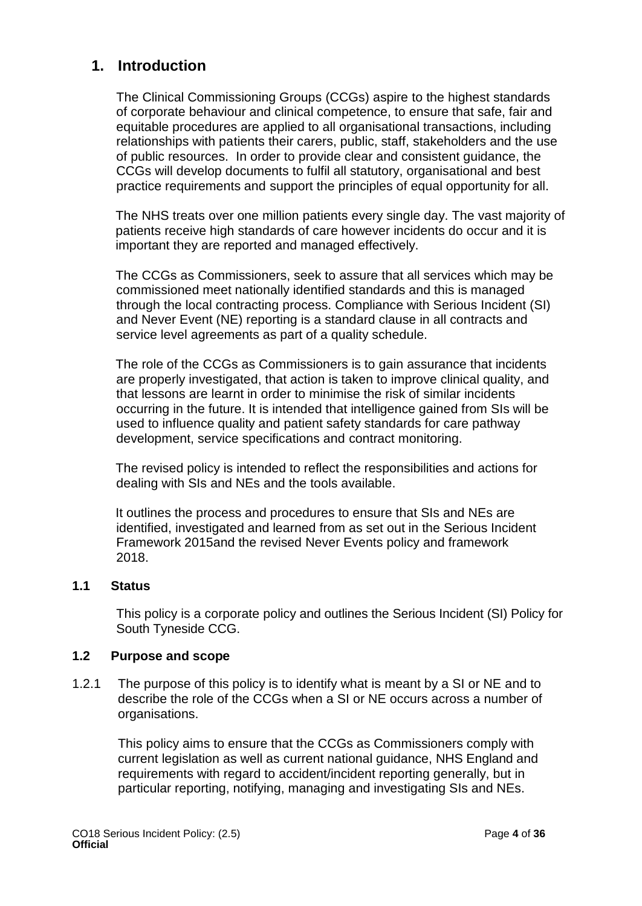### <span id="page-3-0"></span>**1. Introduction**

The Clinical Commissioning Groups (CCGs) aspire to the highest standards of corporate behaviour and clinical competence, to ensure that safe, fair and equitable procedures are applied to all organisational transactions, including relationships with patients their carers, public, staff, stakeholders and the use of public resources. In order to provide clear and consistent guidance, the CCGs will develop documents to fulfil all statutory, organisational and best practice requirements and support the principles of equal opportunity for all.

The NHS treats over one million patients every single day. The vast majority of patients receive high standards of care however incidents do occur and it is important they are reported and managed effectively.

The CCGs as Commissioners, seek to assure that all services which may be commissioned meet nationally identified standards and this is managed through the local contracting process. Compliance with Serious Incident (SI) and Never Event (NE) reporting is a standard clause in all contracts and service level agreements as part of a quality schedule.

The role of the CCGs as Commissioners is to gain assurance that incidents are properly investigated, that action is taken to improve clinical quality, and that lessons are learnt in order to minimise the risk of similar incidents occurring in the future. It is intended that intelligence gained from SIs will be used to influence quality and patient safety standards for care pathway development, service specifications and contract monitoring.

The revised policy is intended to reflect the responsibilities and actions for dealing with SIs and NEs and the tools available.

It outlines the process and procedures to ensure that SIs and NEs are identified, investigated and learned from as set out in the Serious Incident Framework 2015and the revised Never Events policy and framework 2018.

### **1.1 Status**

This policy is a corporate policy and outlines the Serious Incident (SI) Policy for South Tyneside CCG.

### **1.2 Purpose and scope**

1.2.1 The purpose of this policy is to identify what is meant by a SI or NE and to describe the role of the CCGs when a SI or NE occurs across a number of organisations.

This policy aims to ensure that the CCGs as Commissioners comply with current legislation as well as current national guidance, NHS England and requirements with regard to accident/incident reporting generally, but in particular reporting, notifying, managing and investigating SIs and NEs.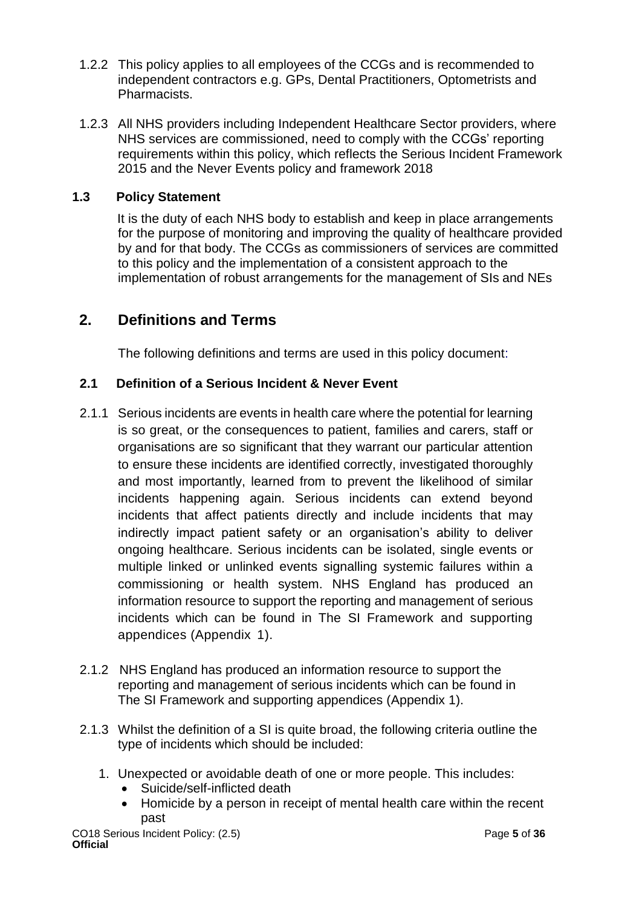- 1.2.2 This policy applies to all employees of the CCGs and is recommended to independent contractors e.g. GPs, Dental Practitioners, Optometrists and Pharmacists.
- 1.2.3 All NHS providers including Independent Healthcare Sector providers, where NHS services are commissioned, need to comply with the CCGs' reporting requirements within this policy, which reflects the Serious Incident Framework 2015 and the Never Events policy and framework 2018

### **1.3 Policy Statement**

It is the duty of each NHS body to establish and keep in place arrangements for the purpose of monitoring and improving the quality of healthcare provided by and for that body. The CCGs as commissioners of services are committed to this policy and the implementation of a consistent approach to the implementation of robust arrangements for the management of SIs and NEs

### <span id="page-4-0"></span>**2. Definitions and Terms**

The following definitions and terms are used in this policy document:

### **2.1 Definition of a Serious Incident & Never Event**

- 2.1.1 Serious incidents are events in health care where the potential for learning is so great, or the consequences to patient, families and carers, staff or organisations are so significant that they warrant our particular attention to ensure these incidents are identified correctly, investigated thoroughly and most importantly, learned from to prevent the likelihood of similar incidents happening again. Serious incidents can extend beyond incidents that affect patients directly and include incidents that may indirectly impact patient safety or an organisation's ability to deliver ongoing healthcare. Serious incidents can be isolated, single events or multiple linked or unlinked events signalling systemic failures within a commissioning or health system. NHS England has produced an information resource to support the reporting and management of serious incidents which can be found in The SI Framework and supporting appendices (Appendix 1).
- 2.1.2 NHS England has produced an information resource to support the reporting and management of serious incidents which can be found in The SI Framework and supporting appendices (Appendix 1).
- 2.1.3 Whilst the definition of a SI is quite broad, the following criteria outline the type of incidents which should be included:
	- 1. Unexpected or avoidable death of one or more people. This includes:
		- Suicide/self-inflicted death
		- Homicide by a person in receipt of mental health care within the recent past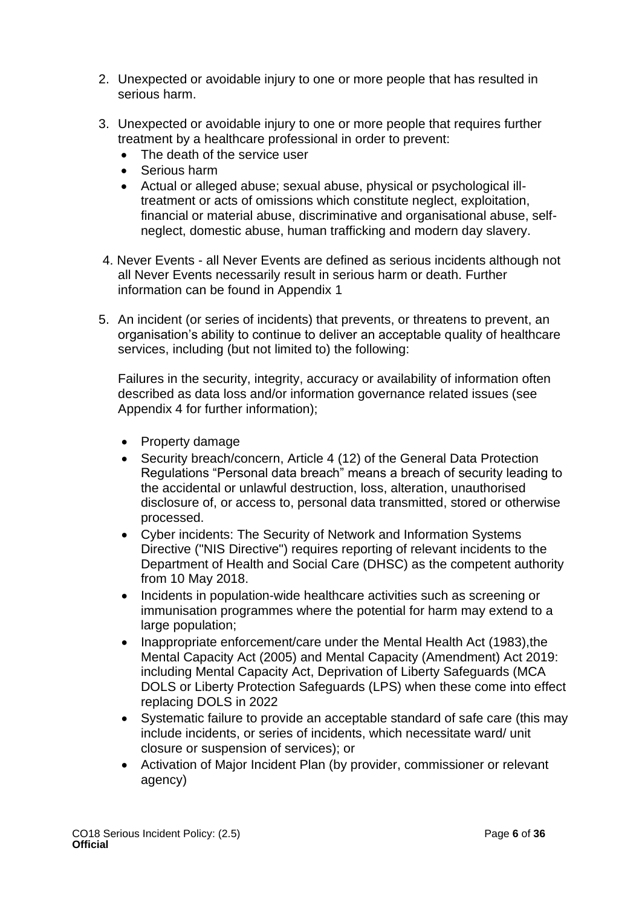- 2. Unexpected or avoidable injury to one or more people that has resulted in serious harm.
- 3. Unexpected or avoidable injury to one or more people that requires further treatment by a healthcare professional in order to prevent:
	- The death of the service user
	- Serious harm
	- Actual or alleged abuse; sexual abuse, physical or psychological illtreatment or acts of omissions which constitute neglect, exploitation, financial or material abuse, discriminative and organisational abuse, selfneglect, domestic abuse, human trafficking and modern day slavery.
- 4. Never Events all Never Events are defined as serious incidents although not all Never Events necessarily result in serious harm or death. Further information can be found in Appendix 1
- 5. An incident (or series of incidents) that prevents, or threatens to prevent, an organisation's ability to continue to deliver an acceptable quality of healthcare services, including (but not limited to) the following:

Failures in the security, integrity, accuracy or availability of information often described as data loss and/or information governance related issues (see Appendix 4 for further information);

- Property damage
- Security breach/concern, Article 4 (12) of the General Data Protection Regulations "Personal data breach" means a breach of security leading to the accidental or unlawful destruction, loss, alteration, unauthorised disclosure of, or access to, personal data transmitted, stored or otherwise processed.
- Cyber incidents: The Security of Network and Information Systems Directive ("NIS Directive") requires reporting of relevant incidents to the Department of Health and Social Care (DHSC) as the competent authority from 10 May 2018.
- Incidents in population-wide healthcare activities such as screening or immunisation programmes where the potential for harm may extend to a large population;
- Inappropriate enforcement/care under the Mental Health Act (1983), the Mental Capacity Act (2005) and Mental Capacity (Amendment) Act 2019: including Mental Capacity Act, Deprivation of Liberty Safeguards (MCA DOLS or Liberty Protection Safeguards (LPS) when these come into effect replacing DOLS in 2022
- Systematic failure to provide an acceptable standard of safe care (this may include incidents, or series of incidents, which necessitate ward/ unit closure or suspension of services); or
- Activation of Major Incident Plan (by provider, commissioner or relevant agency)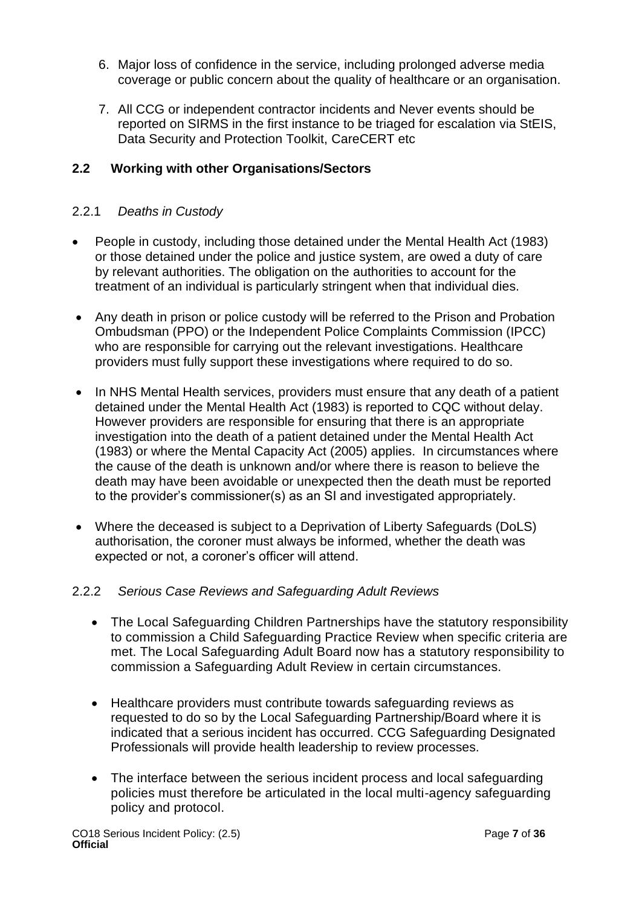- 6. Major loss of confidence in the service, including prolonged adverse media coverage or public concern about the quality of healthcare or an organisation.
- 7. All CCG or independent contractor incidents and Never events should be reported on SIRMS in the first instance to be triaged for escalation via StEIS, Data Security and Protection Toolkit, CareCERT etc

### **2.2 Working with other Organisations/Sectors**

### 2.2.1 *Deaths in Custody*

- People in custody, including those detained under the Mental Health Act (1983) or those detained under the police and justice system, are owed a duty of care by relevant authorities. The obligation on the authorities to account for the treatment of an individual is particularly stringent when that individual dies.
- Any death in prison or police custody will be referred to the Prison and Probation Ombudsman (PPO) or the Independent Police Complaints Commission (IPCC) who are responsible for carrying out the relevant investigations. Healthcare providers must fully support these investigations where required to do so.
- In NHS Mental Health services, providers must ensure that any death of a patient detained under the Mental Health Act (1983) is reported to CQC without delay. However providers are responsible for ensuring that there is an appropriate investigation into the death of a patient detained under the Mental Health Act (1983) or where the Mental Capacity Act (2005) applies. In circumstances where the cause of the death is unknown and/or where there is reason to believe the death may have been avoidable or unexpected then the death must be reported to the provider's commissioner(s) as an SI and investigated appropriately.
- Where the deceased is subject to a Deprivation of Liberty Safeguards (DoLS) authorisation, the coroner must always be informed, whether the death was expected or not, a coroner's officer will attend.

### 2.2.2 *Serious Case Reviews and Safeguarding Adult Reviews*

- The Local Safeguarding Children Partnerships have the statutory responsibility to commission a Child Safeguarding Practice Review when specific criteria are met. The Local Safeguarding Adult Board now has a statutory responsibility to commission a Safeguarding Adult Review in certain circumstances.
- Healthcare providers must contribute towards safeguarding reviews as requested to do so by the Local Safeguarding Partnership/Board where it is indicated that a serious incident has occurred. CCG Safeguarding Designated Professionals will provide health leadership to review processes.
- The interface between the serious incident process and local safeguarding policies must therefore be articulated in the local multi-agency safeguarding policy and protocol.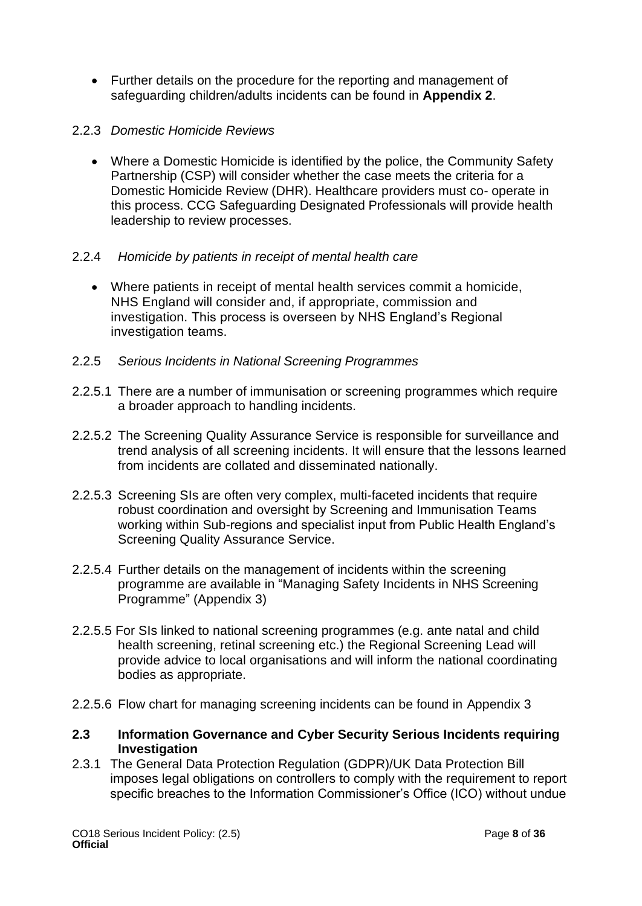• Further details on the procedure for the reporting and management of safeguarding children/adults incidents can be found in **Appendix 2**.

### 2.2.3 *Domestic Homicide Reviews*

• Where a Domestic Homicide is identified by the police, the Community Safety Partnership (CSP) will consider whether the case meets the criteria for a Domestic Homicide Review (DHR). Healthcare providers must co- operate in this process. CCG Safeguarding Designated Professionals will provide health leadership to review processes.

### 2.2.4 *Homicide by patients in receipt of mental health care*

- Where patients in receipt of mental health services commit a homicide, NHS England will consider and, if appropriate, commission and investigation. This process is overseen by NHS England's Regional investigation teams.
- 2.2.5 *Serious Incidents in National Screening Programmes*
- 2.2.5.1 There are a number of immunisation or screening programmes which require a broader approach to handling incidents.
- 2.2.5.2 The Screening Quality Assurance Service is responsible for surveillance and trend analysis of all screening incidents. It will ensure that the lessons learned from incidents are collated and disseminated nationally.
- 2.2.5.3 Screening SIs are often very complex, multi-faceted incidents that require robust coordination and oversight by Screening and Immunisation Teams working within Sub-regions and specialist input from Public Health England's Screening Quality Assurance Service.
- 2.2.5.4 Further details on the management of incidents within the screening programme are available in "Managing Safety Incidents in NHS Screening Programme" (Appendix 3)
- 2.2.5.5 For SIs linked to national screening programmes (e.g. ante natal and child health screening, retinal screening etc.) the Regional Screening Lead will provide advice to local organisations and will inform the national coordinating bodies as appropriate.
- 2.2.5.6 Flow chart for managing screening incidents can be found in Appendix 3
- **2.3 Information Governance and Cyber Security Serious Incidents requiring Investigation**
- 2.3.1 The General Data Protection Regulation (GDPR)/UK Data Protection Bill imposes legal obligations on controllers to comply with the requirement to report specific breaches to the Information Commissioner's Office (ICO) without undue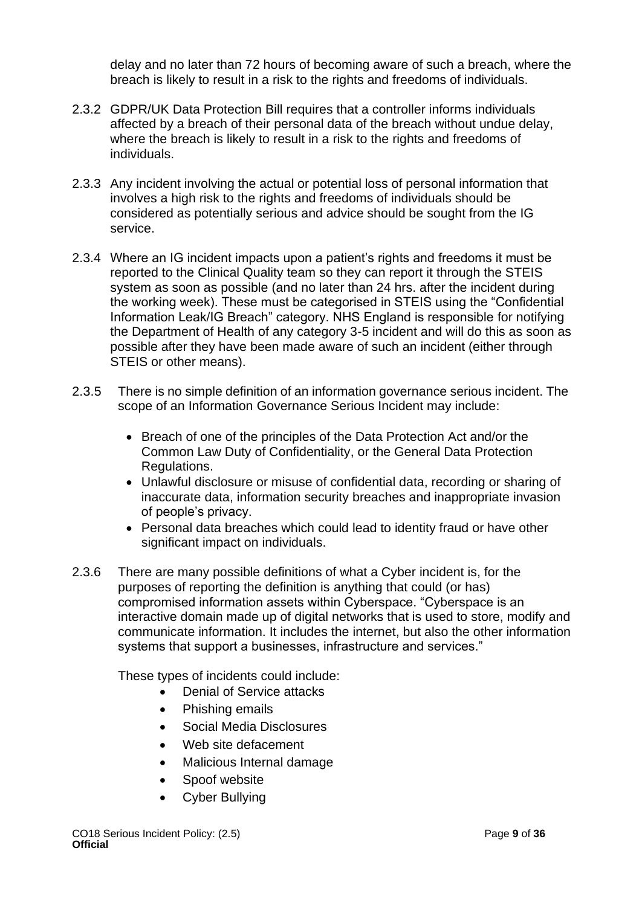delay and no later than 72 hours of becoming aware of such a breach, where the breach is likely to result in a risk to the rights and freedoms of individuals.

- 2.3.2 GDPR/UK Data Protection Bill requires that a controller informs individuals affected by a breach of their personal data of the breach without undue delay, where the breach is likely to result in a risk to the rights and freedoms of individuals.
- 2.3.3 Any incident involving the actual or potential loss of personal information that involves a high risk to the rights and freedoms of individuals should be considered as potentially serious and advice should be sought from the IG service.
- 2.3.4 Where an IG incident impacts upon a patient's rights and freedoms it must be reported to the Clinical Quality team so they can report it through the STEIS system as soon as possible (and no later than 24 hrs. after the incident during the working week). These must be categorised in STEIS using the "Confidential Information Leak/IG Breach" category. NHS England is responsible for notifying the Department of Health of any category 3-5 incident and will do this as soon as possible after they have been made aware of such an incident (either through STEIS or other means).
- 2.3.5 There is no simple definition of an information governance serious incident. The scope of an Information Governance Serious Incident may include:
	- Breach of one of the principles of the Data Protection Act and/or the Common Law Duty of Confidentiality, or the General Data Protection Regulations.
	- Unlawful disclosure or misuse of confidential data, recording or sharing of inaccurate data, information security breaches and inappropriate invasion of people's privacy.
	- Personal data breaches which could lead to identity fraud or have other significant impact on individuals.
- 2.3.6 There are many possible definitions of what a Cyber incident is, for the purposes of reporting the definition is anything that could (or has) compromised information assets within Cyberspace. "Cyberspace is an interactive domain made up of digital networks that is used to store, modify and communicate information. It includes the internet, but also the other information systems that support a businesses, infrastructure and services."

These types of incidents could include:

- Denial of Service attacks
- Phishing emails
- Social Media Disclosures
- Web site defacement
- Malicious Internal damage
- Spoof website
- Cyber Bullying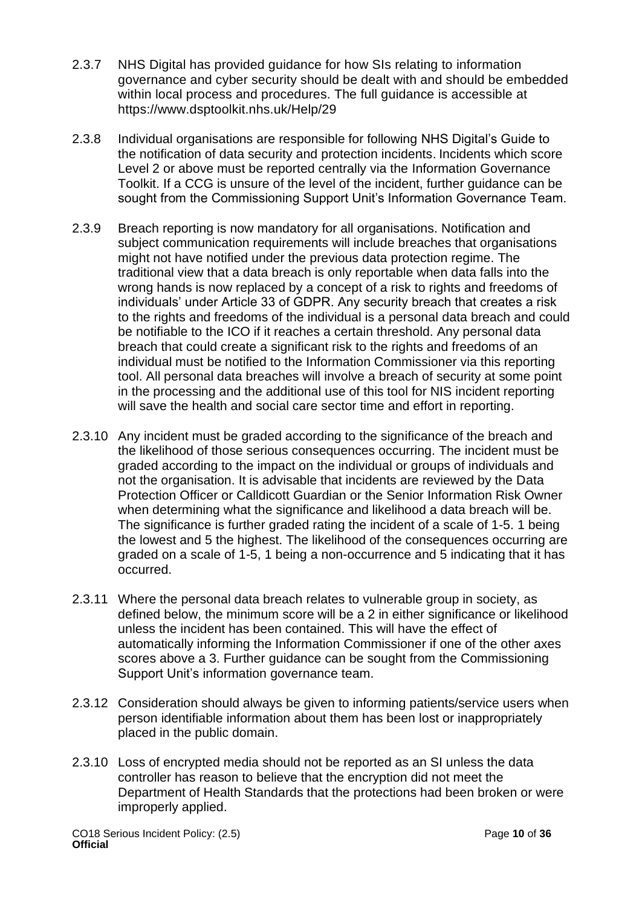- 2.3.7 NHS Digital has provided guidance for how SIs relating to information governance and cyber security should be dealt with and should be embedded within local process and procedures. The full guidance is accessible at https://www.dsptoolkit.nhs.uk/Help/29
- 2.3.8 Individual organisations are responsible for following NHS Digital's Guide to the notification of data security and protection incidents. Incidents which score Level 2 or above must be reported centrally via the Information Governance Toolkit. If a CCG is unsure of the level of the incident, further guidance can be sought from the Commissioning Support Unit's Information Governance Team.
- 2.3.9 Breach reporting is now mandatory for all organisations. Notification and subject communication requirements will include breaches that organisations might not have notified under the previous data protection regime. The traditional view that a data breach is only reportable when data falls into the wrong hands is now replaced by a concept of a risk to rights and freedoms of individuals' under Article 33 of GDPR. Any security breach that creates a risk to the rights and freedoms of the individual is a personal data breach and could be notifiable to the ICO if it reaches a certain threshold. Any personal data breach that could create a significant risk to the rights and freedoms of an individual must be notified to the Information Commissioner via this reporting tool. All personal data breaches will involve a breach of security at some point in the processing and the additional use of this tool for NIS incident reporting will save the health and social care sector time and effort in reporting.
- 2.3.10 Any incident must be graded according to the significance of the breach and the likelihood of those serious consequences occurring. The incident must be graded according to the impact on the individual or groups of individuals and not the organisation. It is advisable that incidents are reviewed by the Data Protection Officer or Calldicott Guardian or the Senior Information Risk Owner when determining what the significance and likelihood a data breach will be. The significance is further graded rating the incident of a scale of 1-5. 1 being the lowest and 5 the highest. The likelihood of the consequences occurring are graded on a scale of 1-5, 1 being a non-occurrence and 5 indicating that it has occurred.
- 2.3.11 Where the personal data breach relates to vulnerable group in society, as defined below, the minimum score will be a 2 in either significance or likelihood unless the incident has been contained. This will have the effect of automatically informing the Information Commissioner if one of the other axes scores above a 3. Further guidance can be sought from the Commissioning Support Unit's information governance team.
- 2.3.12 Consideration should always be given to informing patients/service users when person identifiable information about them has been lost or inappropriately placed in the public domain.
- 2.3.10 Loss of encrypted media should not be reported as an SI unless the data controller has reason to believe that the encryption did not meet the Department of Health Standards that the protections had been broken or were improperly applied.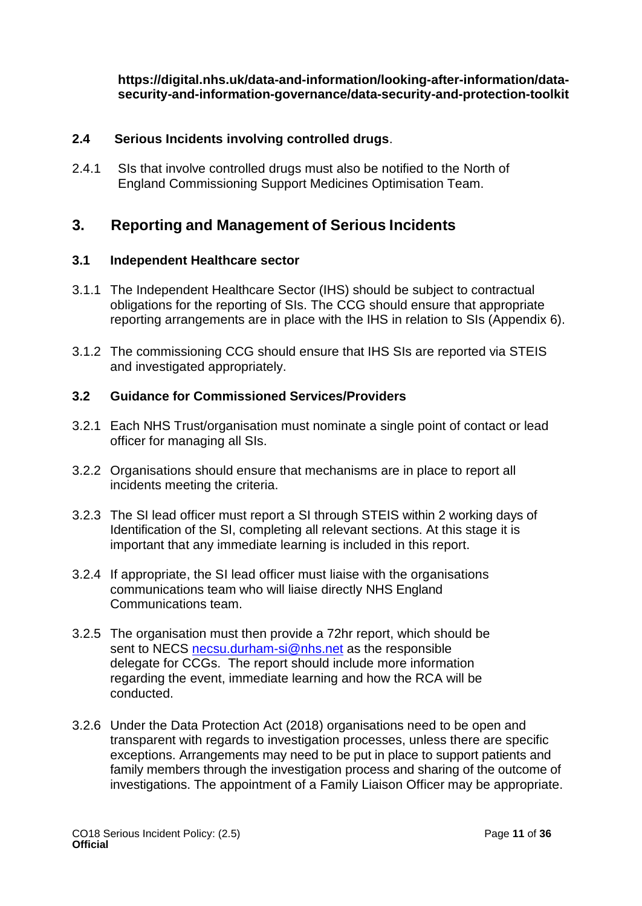**[https://digital.nhs.uk/data-and-information/looking-after-information/data](https://digital.nhs.uk/data-and-information/looking-after-information/data-security-and-information-governance/data-security-and-protection-toolkit)[security-and-information-governance/data-security-and-protection-toolkit](https://digital.nhs.uk/data-and-information/looking-after-information/data-security-and-information-governance/data-security-and-protection-toolkit)**

### **2.4 Serious Incidents involving controlled drugs**.

2.4.1 SIs that involve controlled drugs must also be notified to the North of England Commissioning Support Medicines Optimisation Team.

### <span id="page-10-0"></span>**3. Reporting and Management of Serious Incidents**

#### **3.1 Independent Healthcare sector**

- 3.1.1 The Independent Healthcare Sector (IHS) should be subject to contractual obligations for the reporting of SIs. The CCG should ensure that appropriate reporting arrangements are in place with the IHS in relation to SIs (Appendix 6).
- 3.1.2 The commissioning CCG should ensure that IHS SIs are reported via STEIS and investigated appropriately.

#### **3.2 Guidance for Commissioned Services/Providers**

- 3.2.1 Each NHS Trust/organisation must nominate a single point of contact or lead officer for managing all SIs.
- 3.2.2 Organisations should ensure that mechanisms are in place to report all incidents meeting the criteria.
- 3.2.3 The SI lead officer must report a SI through STEIS within 2 working days of Identification of the SI, completing all relevant sections. At this stage it is important that any immediate learning is included in this report.
- 3.2.4 If appropriate, the SI lead officer must liaise with the organisations communications team who will liaise directly NHS England Communications team.
- 3.2.5 The organisation must then provide a 72hr report, which should be sent to NECS [necsu.durham-si@nhs.net](mailto:necsu.durham-si@nhs.net) as the responsible delegate for CCGs. The report should include more information regarding the event, immediate learning and how the RCA will be conducted.
- 3.2.6 Under the Data Protection Act (2018) organisations need to be open and transparent with regards to investigation processes, unless there are specific exceptions. Arrangements may need to be put in place to support patients and family members through the investigation process and sharing of the outcome of investigations. The appointment of a Family Liaison Officer may be appropriate.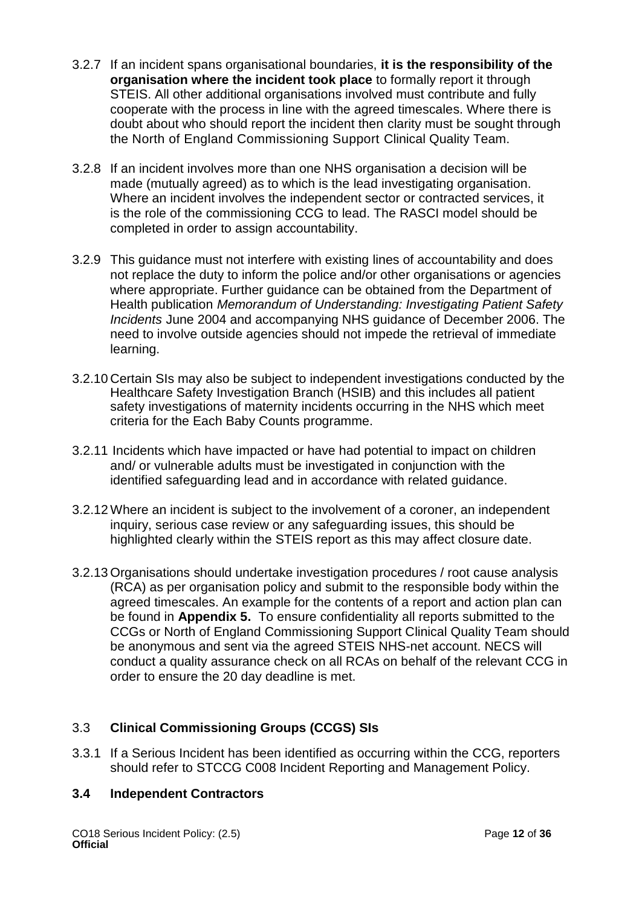- 3.2.7 If an incident spans organisational boundaries, **it is the responsibility of the organisation where the incident took place** to formally report it through STEIS. All other additional organisations involved must contribute and fully cooperate with the process in line with the agreed timescales. Where there is doubt about who should report the incident then clarity must be sought through the North of England Commissioning Support Clinical Quality Team.
- 3.2.8 If an incident involves more than one NHS organisation a decision will be made (mutually agreed) as to which is the lead investigating organisation. Where an incident involves the independent sector or contracted services, it is the role of the commissioning CCG to lead. The RASCI model should be completed in order to assign accountability.
- 3.2.9 This guidance must not interfere with existing lines of accountability and does not replace the duty to inform the police and/or other organisations or agencies where appropriate. Further guidance can be obtained from the Department of Health publication *Memorandum of Understanding: Investigating Patient Safety Incidents* June 2004 and accompanying NHS guidance of December 2006. The need to involve outside agencies should not impede the retrieval of immediate learning.
- 3.2.10 Certain SIs may also be subject to independent investigations conducted by the Healthcare Safety Investigation Branch (HSIB) and this includes all patient safety investigations of maternity incidents occurring in the NHS which meet criteria for the Each Baby Counts programme.
- 3.2.11 Incidents which have impacted or have had potential to impact on children and/ or vulnerable adults must be investigated in conjunction with the identified safeguarding lead and in accordance with related guidance.
- 3.2.12Where an incident is subject to the involvement of a coroner, an independent inquiry, serious case review or any safeguarding issues, this should be highlighted clearly within the STEIS report as this may affect closure date.
- 3.2.13 Organisations should undertake investigation procedures / root cause analysis (RCA) as per organisation policy and submit to the responsible body within the agreed timescales. An example for the contents of a report and action plan can be found in **Appendix 5.** To ensure confidentiality all reports submitted to the CCGs or North of England Commissioning Support Clinical Quality Team should be anonymous and sent via the agreed STEIS NHS-net account. NECS will conduct a quality assurance check on all RCAs on behalf of the relevant CCG in order to ensure the 20 day deadline is met.

### 3.3 **Clinical Commissioning Groups (CCGS) SIs**

3.3.1 If a Serious Incident has been identified as occurring within the CCG, reporters should refer to STCCG C008 Incident Reporting and Management Policy.

### **3.4 Independent Contractors**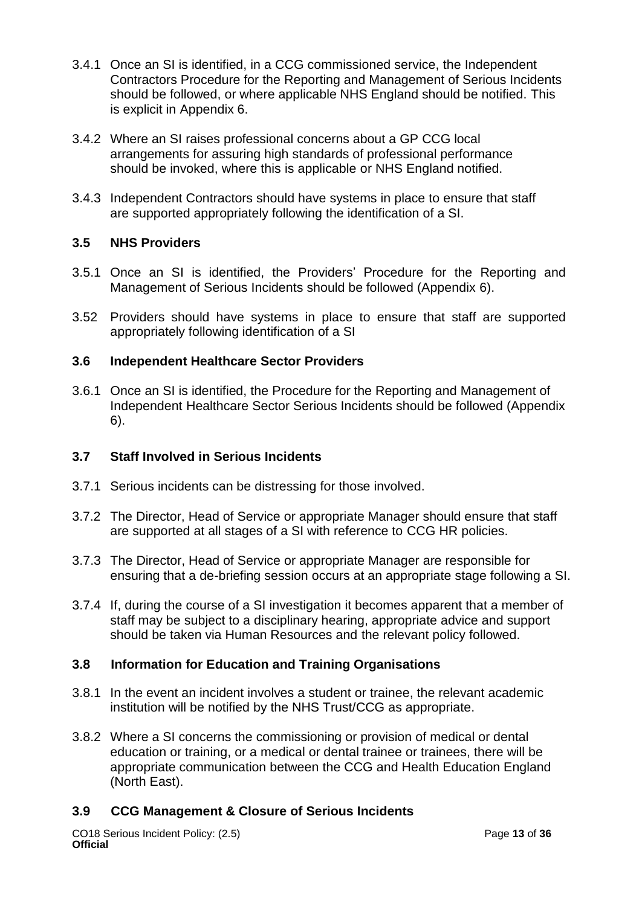- 3.4.1 Once an SI is identified, in a CCG commissioned service, the Independent Contractors Procedure for the Reporting and Management of Serious Incidents should be followed, or where applicable NHS England should be notified. This is explicit in Appendix 6.
- 3.4.2 Where an SI raises professional concerns about a GP CCG local arrangements for assuring high standards of professional performance should be invoked, where this is applicable or NHS England notified.
- 3.4.3 Independent Contractors should have systems in place to ensure that staff are supported appropriately following the identification of a SI.

### **3.5 NHS Providers**

- 3.5.1 Once an SI is identified, the Providers' Procedure for the Reporting and Management of Serious Incidents should be followed (Appendix 6).
- 3.52 Providers should have systems in place to ensure that staff are supported appropriately following identification of a SI

### **3.6 Independent Healthcare Sector Providers**

3.6.1 Once an SI is identified, the Procedure for the Reporting and Management of Independent Healthcare Sector Serious Incidents should be followed (Appendix 6).

### **3.7 Staff Involved in Serious Incidents**

- 3.7.1 Serious incidents can be distressing for those involved.
- 3.7.2 The Director, Head of Service or appropriate Manager should ensure that staff are supported at all stages of a SI with reference to CCG HR policies.
- 3.7.3 The Director, Head of Service or appropriate Manager are responsible for ensuring that a de-briefing session occurs at an appropriate stage following a SI.
- 3.7.4 If, during the course of a SI investigation it becomes apparent that a member of staff may be subject to a disciplinary hearing, appropriate advice and support should be taken via Human Resources and the relevant policy followed.

### **3.8 Information for Education and Training Organisations**

- 3.8.1 In the event an incident involves a student or trainee, the relevant academic institution will be notified by the NHS Trust/CCG as appropriate.
- 3.8.2 Where a SI concerns the commissioning or provision of medical or dental education or training, or a medical or dental trainee or trainees, there will be appropriate communication between the CCG and Health Education England (North East).

### **3.9 CCG Management & Closure of Serious Incidents**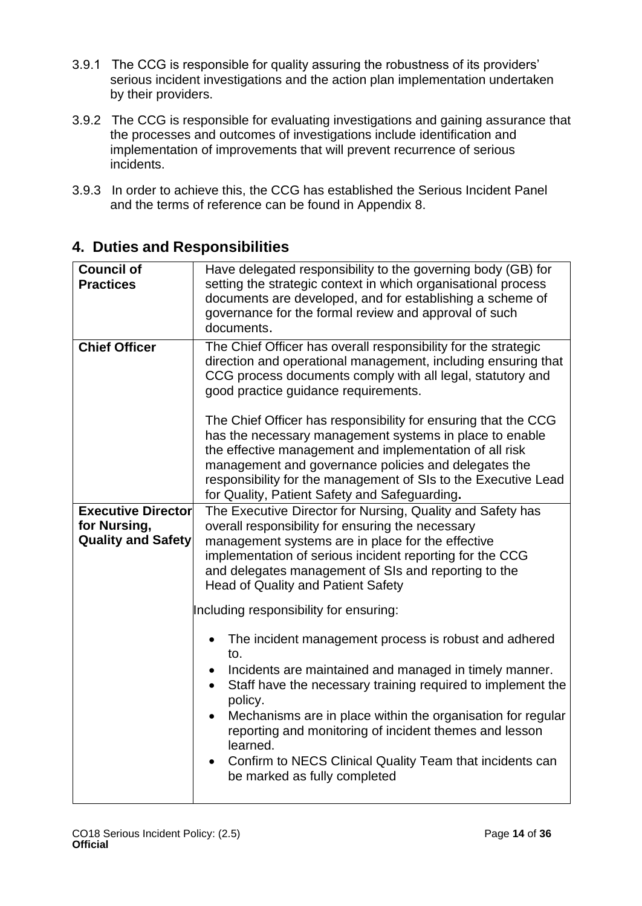- 3.9.1 The CCG is responsible for quality assuring the robustness of its providers' serious incident investigations and the action plan implementation undertaken by their providers.
- 3.9.2 The CCG is responsible for evaluating investigations and gaining assurance that the processes and outcomes of investigations include identification and implementation of improvements that will prevent recurrence of serious incidents.
- 3.9.3 In order to achieve this, the CCG has established the Serious Incident Panel and the terms of reference can be found in Appendix 8.

| <b>Council of</b><br><b>Practices</b>                                  | Have delegated responsibility to the governing body (GB) for<br>setting the strategic context in which organisational process<br>documents are developed, and for establishing a scheme of<br>governance for the formal review and approval of such<br>documents.                                                                                                                                                                                                                                     |
|------------------------------------------------------------------------|-------------------------------------------------------------------------------------------------------------------------------------------------------------------------------------------------------------------------------------------------------------------------------------------------------------------------------------------------------------------------------------------------------------------------------------------------------------------------------------------------------|
| <b>Chief Officer</b>                                                   | The Chief Officer has overall responsibility for the strategic<br>direction and operational management, including ensuring that<br>CCG process documents comply with all legal, statutory and<br>good practice guidance requirements.                                                                                                                                                                                                                                                                 |
|                                                                        | The Chief Officer has responsibility for ensuring that the CCG<br>has the necessary management systems in place to enable<br>the effective management and implementation of all risk<br>management and governance policies and delegates the<br>responsibility for the management of SIs to the Executive Lead<br>for Quality, Patient Safety and Safeguarding.                                                                                                                                       |
| <b>Executive Director</b><br>for Nursing,<br><b>Quality and Safety</b> | The Executive Director for Nursing, Quality and Safety has<br>overall responsibility for ensuring the necessary<br>management systems are in place for the effective<br>implementation of serious incident reporting for the CCG<br>and delegates management of SIs and reporting to the<br><b>Head of Quality and Patient Safety</b>                                                                                                                                                                 |
|                                                                        | Including responsibility for ensuring:<br>The incident management process is robust and adhered<br>to.<br>Incidents are maintained and managed in timely manner.<br>$\bullet$<br>Staff have the necessary training required to implement the<br>$\bullet$<br>policy.<br>Mechanisms are in place within the organisation for regular<br>reporting and monitoring of incident themes and lesson<br>learned.<br>Confirm to NECS Clinical Quality Team that incidents can<br>be marked as fully completed |

### <span id="page-13-0"></span>**4. Duties and Responsibilities**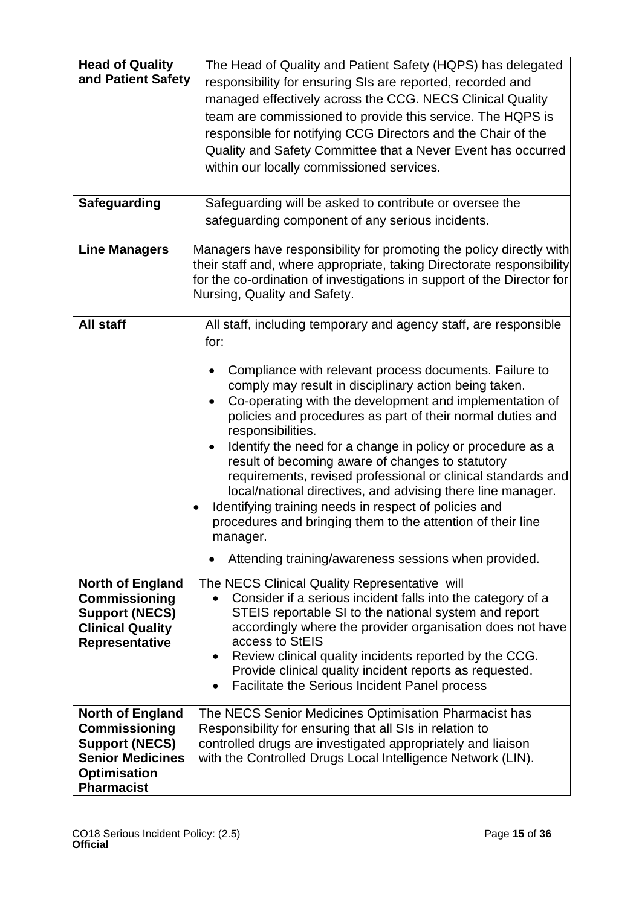| <b>Head of Quality</b><br>and Patient Safety                                                                                                    | The Head of Quality and Patient Safety (HQPS) has delegated<br>responsibility for ensuring SIs are reported, recorded and<br>managed effectively across the CCG. NECS Clinical Quality<br>team are commissioned to provide this service. The HQPS is<br>responsible for notifying CCG Directors and the Chair of the<br>Quality and Safety Committee that a Never Event has occurred<br>within our locally commissioned services.                                                                                                                                                                                                                                                                                                                                                                   |
|-------------------------------------------------------------------------------------------------------------------------------------------------|-----------------------------------------------------------------------------------------------------------------------------------------------------------------------------------------------------------------------------------------------------------------------------------------------------------------------------------------------------------------------------------------------------------------------------------------------------------------------------------------------------------------------------------------------------------------------------------------------------------------------------------------------------------------------------------------------------------------------------------------------------------------------------------------------------|
| <b>Safeguarding</b>                                                                                                                             | Safeguarding will be asked to contribute or oversee the<br>safeguarding component of any serious incidents.                                                                                                                                                                                                                                                                                                                                                                                                                                                                                                                                                                                                                                                                                         |
| <b>Line Managers</b>                                                                                                                            | Managers have responsibility for promoting the policy directly with<br>their staff and, where appropriate, taking Directorate responsibility<br>for the co-ordination of investigations in support of the Director for<br>Nursing, Quality and Safety.                                                                                                                                                                                                                                                                                                                                                                                                                                                                                                                                              |
| All staff                                                                                                                                       | All staff, including temporary and agency staff, are responsible<br>for:<br>Compliance with relevant process documents. Failure to<br>comply may result in disciplinary action being taken.<br>Co-operating with the development and implementation of<br>$\bullet$<br>policies and procedures as part of their normal duties and<br>responsibilities.<br>Identify the need for a change in policy or procedure as a<br>result of becoming aware of changes to statutory<br>requirements, revised professional or clinical standards and<br>local/national directives, and advising there line manager.<br>Identifying training needs in respect of policies and<br>procedures and bringing them to the attention of their line<br>manager.<br>Attending training/awareness sessions when provided. |
| <b>North of England</b><br><b>Commissioning</b><br><b>Support (NECS)</b><br><b>Clinical Quality</b><br>Representative                           | The NECS Clinical Quality Representative will<br>Consider if a serious incident falls into the category of a<br>STEIS reportable SI to the national system and report<br>accordingly where the provider organisation does not have<br>access to StEIS<br>Review clinical quality incidents reported by the CCG.<br>$\bullet$<br>Provide clinical quality incident reports as requested.<br>Facilitate the Serious Incident Panel process<br>$\bullet$                                                                                                                                                                                                                                                                                                                                               |
| <b>North of England</b><br><b>Commissioning</b><br><b>Support (NECS)</b><br><b>Senior Medicines</b><br><b>Optimisation</b><br><b>Pharmacist</b> | The NECS Senior Medicines Optimisation Pharmacist has<br>Responsibility for ensuring that all SIs in relation to<br>controlled drugs are investigated appropriately and liaison<br>with the Controlled Drugs Local Intelligence Network (LIN).                                                                                                                                                                                                                                                                                                                                                                                                                                                                                                                                                      |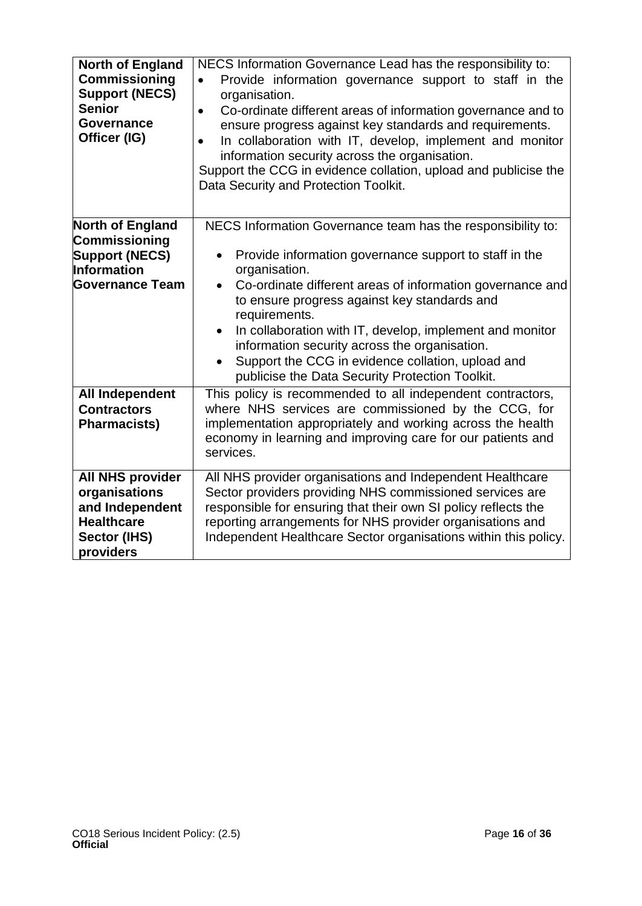| <b>North of England</b><br><b>Commissioning</b><br><b>Support (NECS)</b><br><b>Senior</b><br><b>Governance</b><br>Officer (IG) | NECS Information Governance Lead has the responsibility to:<br>Provide information governance support to staff in the<br>$\bullet$<br>organisation.<br>Co-ordinate different areas of information governance and to<br>$\bullet$<br>ensure progress against key standards and requirements.<br>In collaboration with IT, develop, implement and monitor<br>information security across the organisation.<br>Support the CCG in evidence collation, upload and publicise the<br>Data Security and Protection Toolkit. |
|--------------------------------------------------------------------------------------------------------------------------------|----------------------------------------------------------------------------------------------------------------------------------------------------------------------------------------------------------------------------------------------------------------------------------------------------------------------------------------------------------------------------------------------------------------------------------------------------------------------------------------------------------------------|
| North of England                                                                                                               | NECS Information Governance team has the responsibility to:                                                                                                                                                                                                                                                                                                                                                                                                                                                          |
| <b>Commissioning</b><br><b>Support (NECS)</b><br><b>Information</b><br><b>Governance Team</b>                                  | Provide information governance support to staff in the<br>$\bullet$<br>organisation.<br>Co-ordinate different areas of information governance and<br>to ensure progress against key standards and<br>requirements.                                                                                                                                                                                                                                                                                                   |
|                                                                                                                                | In collaboration with IT, develop, implement and monitor<br>$\bullet$<br>information security across the organisation.<br>Support the CCG in evidence collation, upload and<br>publicise the Data Security Protection Toolkit.                                                                                                                                                                                                                                                                                       |
| <b>All Independent</b><br><b>Contractors</b><br><b>Pharmacists)</b>                                                            | This policy is recommended to all independent contractors,<br>where NHS services are commissioned by the CCG, for<br>implementation appropriately and working across the health<br>economy in learning and improving care for our patients and<br>services.                                                                                                                                                                                                                                                          |
| <b>All NHS provider</b><br>organisations<br>and Independent<br><b>Healthcare</b><br>Sector (IHS)<br>providers                  | All NHS provider organisations and Independent Healthcare<br>Sector providers providing NHS commissioned services are<br>responsible for ensuring that their own SI policy reflects the<br>reporting arrangements for NHS provider organisations and<br>Independent Healthcare Sector organisations within this policy.                                                                                                                                                                                              |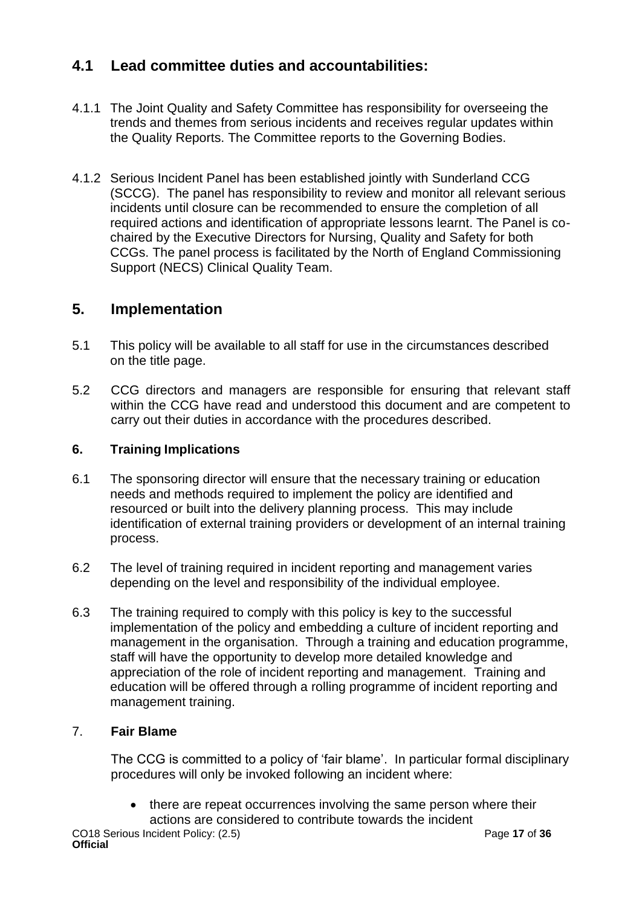### <span id="page-16-0"></span>**4.1 Lead committee duties and accountabilities:**

- 4.1.1 The Joint Quality and Safety Committee has responsibility for overseeing the trends and themes from serious incidents and receives regular updates within the Quality Reports. The Committee reports to the Governing Bodies.
- 4.1.2 Serious Incident Panel has been established jointly with Sunderland CCG (SCCG). The panel has responsibility to review and monitor all relevant serious incidents until closure can be recommended to ensure the completion of all required actions and identification of appropriate lessons learnt. The Panel is cochaired by the Executive Directors for Nursing, Quality and Safety for both CCGs. The panel process is facilitated by the North of England Commissioning Support (NECS) Clinical Quality Team.

### **5. Implementation**

- 5.1 This policy will be available to all staff for use in the circumstances described on the title page.
- 5.2 CCG directors and managers are responsible for ensuring that relevant staff within the CCG have read and understood this document and are competent to carry out their duties in accordance with the procedures described.

### **6. Training Implications**

- 6.1 The sponsoring director will ensure that the necessary training or education needs and methods required to implement the policy are identified and resourced or built into the delivery planning process. This may include identification of external training providers or development of an internal training process.
- 6.2 The level of training required in incident reporting and management varies depending on the level and responsibility of the individual employee.
- 6.3 The training required to comply with this policy is key to the successful implementation of the policy and embedding a culture of incident reporting and management in the organisation. Through a training and education programme, staff will have the opportunity to develop more detailed knowledge and appreciation of the role of incident reporting and management. Training and education will be offered through a rolling programme of incident reporting and management training.

### <span id="page-16-1"></span>7. **Fair Blame**

The CCG is committed to a policy of 'fair blame'. In particular formal disciplinary procedures will only be invoked following an incident where:

• there are repeat occurrences involving the same person where their actions are considered to contribute towards the incident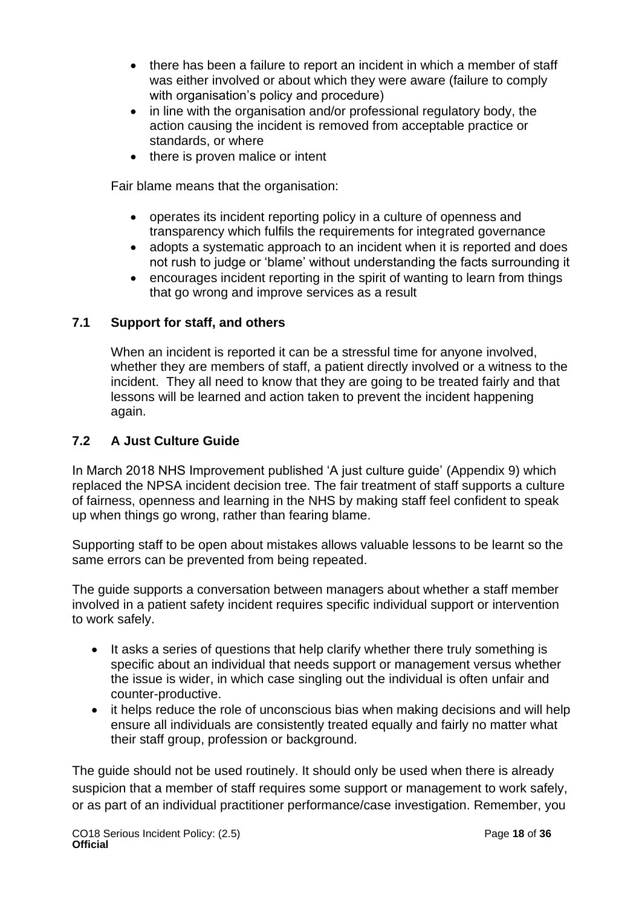- there has been a failure to report an incident in which a member of staff was either involved or about which they were aware (failure to comply with organisation's policy and procedure)
- in line with the organisation and/or professional regulatory body, the action causing the incident is removed from acceptable practice or standards, or where
- there is proven malice or intent

Fair blame means that the organisation:

- operates its incident reporting policy in a culture of openness and transparency which fulfils the requirements for integrated governance
- adopts a systematic approach to an incident when it is reported and does not rush to judge or 'blame' without understanding the facts surrounding it
- encourages incident reporting in the spirit of wanting to learn from things that go wrong and improve services as a result

### **7.1 Support for staff, and others**

When an incident is reported it can be a stressful time for anyone involved, whether they are members of staff, a patient directly involved or a witness to the incident. They all need to know that they are going to be treated fairly and that lessons will be learned and action taken to prevent the incident happening again.

### **7.2 A Just Culture Guide**

In March 2018 NHS Improvement published 'A just culture guide' (Appendix 9) which replaced the NPSA incident decision tree. The fair treatment of staff supports a culture of fairness, openness and learning in the NHS by making staff feel confident to speak up when things go wrong, rather than fearing blame.

Supporting staff to be open about mistakes allows valuable lessons to be learnt so the same errors can be prevented from being repeated.

The guide supports a conversation between managers about whether a staff member involved in a patient safety incident requires specific individual support or intervention to work safely.

- It asks a series of questions that help clarify whether there truly something is specific about an individual that needs support or management versus whether the issue is wider, in which case singling out the individual is often unfair and counter-productive.
- it helps reduce the role of unconscious bias when making decisions and will help ensure all individuals are consistently treated equally and fairly no matter what their staff group, profession or background.

The guide should not be used routinely. It should only be used when there is already suspicion that a member of staff requires some support or management to work safely, or as part of an individual practitioner performance/case investigation. Remember, you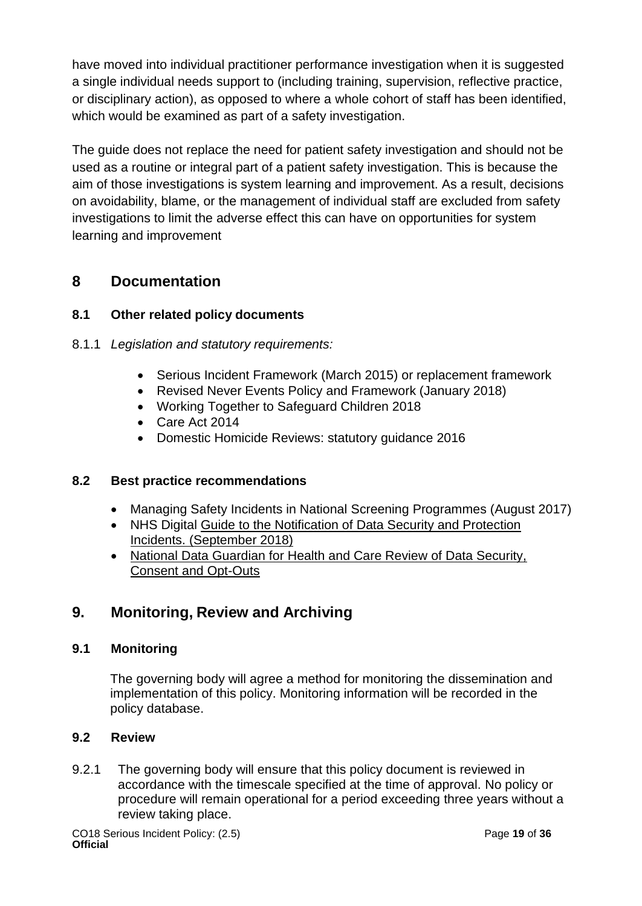have moved into individual practitioner performance investigation when it is suggested a single individual needs support to (including training, supervision, reflective practice, or disciplinary action), as opposed to where a whole cohort of staff has been identified, which would be examined as part of a safety investigation.

The guide does not replace the need for patient safety investigation and should not be used as a routine or integral part of a patient safety investigation. This is because the aim of those investigations is system learning and improvement. As a result, decisions on avoidability, blame, or the management of individual staff are excluded from safety investigations to limit the adverse effect this can have on opportunities for system learning and improvement

### <span id="page-18-0"></span>**8 Documentation**

### **8.1 Other related policy documents**

- 8.1.1 *Legislation and statutory requirements:*
	- Serious Incident Framework (March 2015) or replacement framework
	- Revised Never Events Policy and Framework (January 2018)
	- Working Together to Safeguard Children 2018
	- Care Act 2014
	- Domestic Homicide Reviews: statutory guidance 2016

### **8.2 Best practice recommendations**

- Managing Safety Incidents in National Screening Programmes (August 2017)
- NHS Digital [Guide to the Notification of Data Security and Protection](https://www.dsptoolkit.nhs.uk/Help/Attachment/148)  [Incidents. \(September 2018\)](https://www.dsptoolkit.nhs.uk/Help/Attachment/148)
- [National Data Guardian for Health and Care Review of Data Security,](https://assets.publishing.service.gov.uk/government/uploads/system/uploads/attachment_data/file/535024/data-security-review.PDF)  [Consent and Opt-Outs](https://assets.publishing.service.gov.uk/government/uploads/system/uploads/attachment_data/file/535024/data-security-review.PDF)

### <span id="page-18-1"></span>**9. Monitoring, Review and Archiving**

### **9.1 Monitoring**

The governing body will agree a method for monitoring the dissemination and implementation of this policy. Monitoring information will be recorded in the policy database.

### **9.2 Review**

9.2.1 The governing body will ensure that this policy document is reviewed in accordance with the timescale specified at the time of approval. No policy or procedure will remain operational for a period exceeding three years without a review taking place.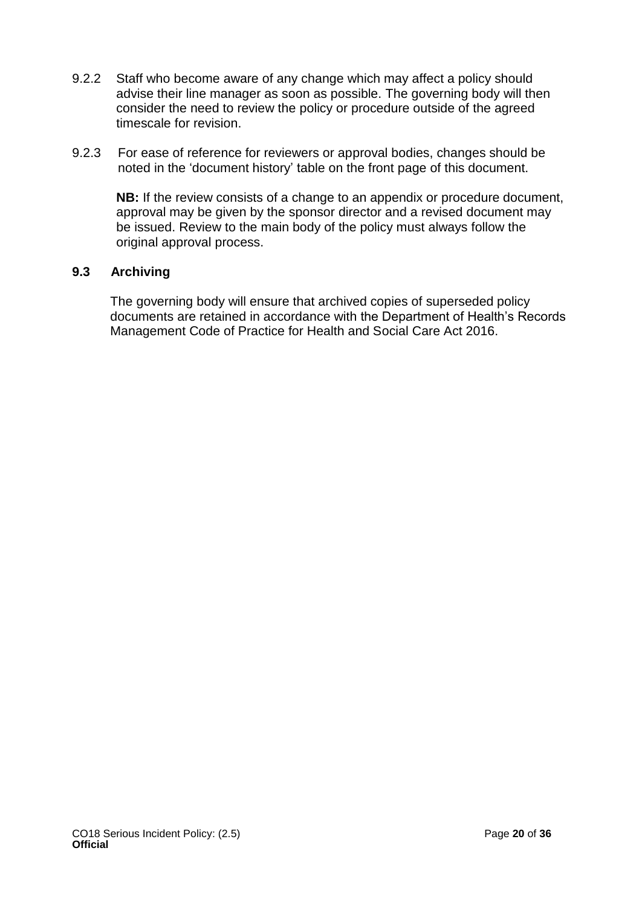- 9.2.2 Staff who become aware of any change which may affect a policy should advise their line manager as soon as possible. The governing body will then consider the need to review the policy or procedure outside of the agreed timescale for revision.
- 9.2.3 For ease of reference for reviewers or approval bodies, changes should be noted in the 'document history' table on the front page of this document.

**NB:** If the review consists of a change to an appendix or procedure document, approval may be given by the sponsor director and a revised document may be issued. Review to the main body of the policy must always follow the original approval process.

### **9.3 Archiving**

The governing body will ensure that archived copies of superseded policy documents are retained in accordance with the Department of Health's Records Management Code of Practice for Health and Social Care Act 2016.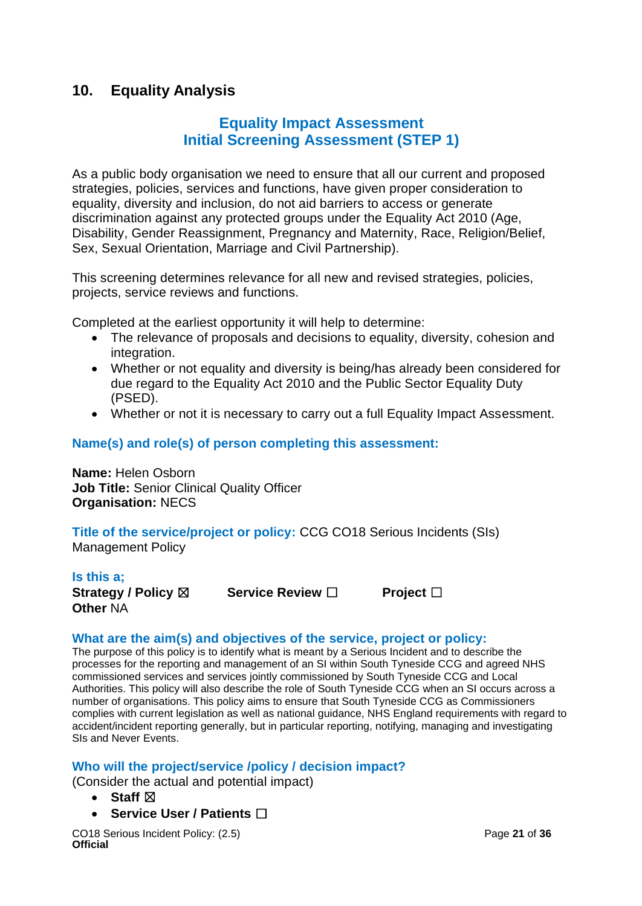### <span id="page-20-0"></span>**10. Equality Analysis**

### **Equality Impact Assessment Initial Screening Assessment (STEP 1)**

As a public body organisation we need to ensure that all our current and proposed strategies, policies, services and functions, have given proper consideration to equality, diversity and inclusion, do not aid barriers to access or generate discrimination against any protected groups under the Equality Act 2010 (Age, Disability, Gender Reassignment, Pregnancy and Maternity, Race, Religion/Belief, Sex, Sexual Orientation, Marriage and Civil Partnership).

This screening determines relevance for all new and revised strategies, policies, projects, service reviews and functions.

Completed at the earliest opportunity it will help to determine:

- The relevance of proposals and decisions to equality, diversity, cohesion and integration.
- Whether or not equality and diversity is being/has already been considered for due regard to the Equality Act 2010 and the Public Sector Equality Duty (PSED).
- Whether or not it is necessary to carry out a full Equality Impact Assessment.

### **Name(s) and role(s) of person completing this assessment:**

**Name:** Helen Osborn **Job Title:** Senior Clinical Quality Officer **Organisation:** NECS

**Title of the service/project or policy:** CCG CO18 Serious Incidents (SIs) Management Policy

**Is this a; Strategy / Policy** ☒ **Service Review** ☐ **Project** ☐ **Other** NA

### **What are the aim(s) and objectives of the service, project or policy:**

The purpose of this policy is to identify what is meant by a Serious Incident and to describe the processes for the reporting and management of an SI within South Tyneside CCG and agreed NHS commissioned services and services jointly commissioned by South Tyneside CCG and Local Authorities. This policy will also describe the role of South Tyneside CCG when an SI occurs across a number of organisations. This policy aims to ensure that South Tyneside CCG as Commissioners complies with current legislation as well as national guidance, NHS England requirements with regard to accident/incident reporting generally, but in particular reporting, notifying, managing and investigating SIs and Never Events.

### **Who will the project/service /policy / decision impact?**

(Consider the actual and potential impact)

- **Staff** ☒
- **Service User / Patients** ☐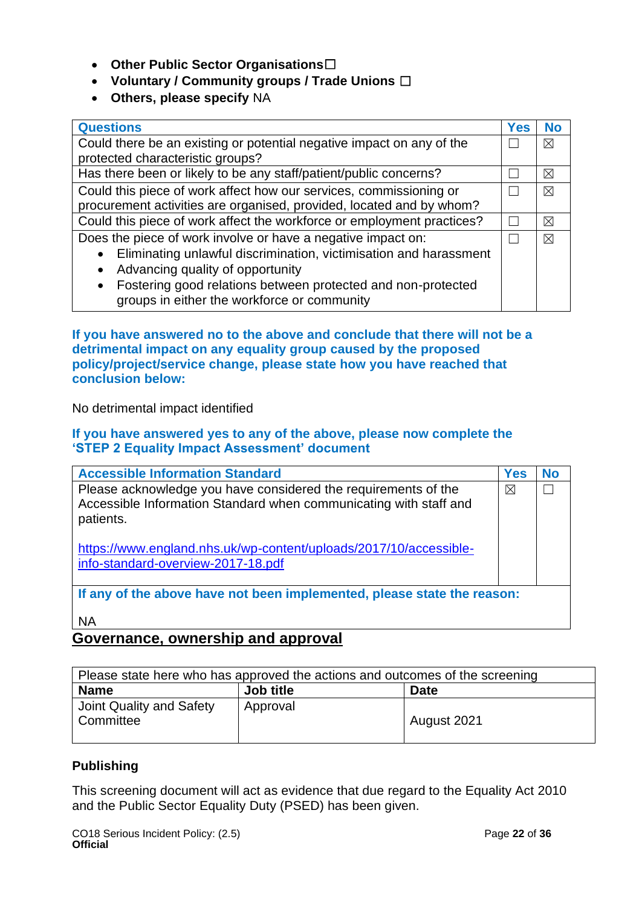- **Other Public Sector Organisations**☐
- **Voluntary / Community groups / Trade Unions** ☐
- **Others, please specify** NA

| <b>Questions</b>                                                          | <b>Yes</b> | <b>No</b> |
|---------------------------------------------------------------------------|------------|-----------|
| Could there be an existing or potential negative impact on any of the     |            |           |
| protected characteristic groups?                                          |            |           |
| Has there been or likely to be any staff/patient/public concerns?         |            | ⊠         |
| Could this piece of work affect how our services, commissioning or        |            | ⊠         |
| procurement activities are organised, provided, located and by whom?      |            |           |
| Could this piece of work affect the workforce or employment practices?    |            |           |
| Does the piece of work involve or have a negative impact on:              |            |           |
| Eliminating unlawful discrimination, victimisation and harassment         |            |           |
| Advancing quality of opportunity<br>$\bullet$                             |            |           |
| Fostering good relations between protected and non-protected<br>$\bullet$ |            |           |
| groups in either the workforce or community                               |            |           |

**If you have answered no to the above and conclude that there will not be a detrimental impact on any equality group caused by the proposed policy/project/service change, please state how you have reached that conclusion below:** 

No detrimental impact identified

#### **If you have answered yes to any of the above, please now complete the 'STEP 2 Equality Impact Assessment' document**

| <b>Accessible Information Standard</b>                                                                                                           | <b>Yes</b>  | No |
|--------------------------------------------------------------------------------------------------------------------------------------------------|-------------|----|
| Please acknowledge you have considered the requirements of the<br>Accessible Information Standard when communicating with staff and<br>patients. | $\boxtimes$ |    |
| https://www.england.nhs.uk/wp-content/uploads/2017/10/accessible-<br>info-standard-overview-2017-18.pdf                                          |             |    |
| If any of the above have not been implemented, please state the reason:                                                                          |             |    |
| ΝA                                                                                                                                               |             |    |

### **Governance, ownership and approval**

| Please state here who has approved the actions and outcomes of the screening |           |             |  |
|------------------------------------------------------------------------------|-----------|-------------|--|
| <b>Name</b>                                                                  | Job title | <b>Date</b> |  |
| Joint Quality and Safety<br>Committee                                        | Approval  | August 2021 |  |

### **Publishing**

This screening document will act as evidence that due regard to the Equality Act 2010 and the Public Sector Equality Duty (PSED) has been given.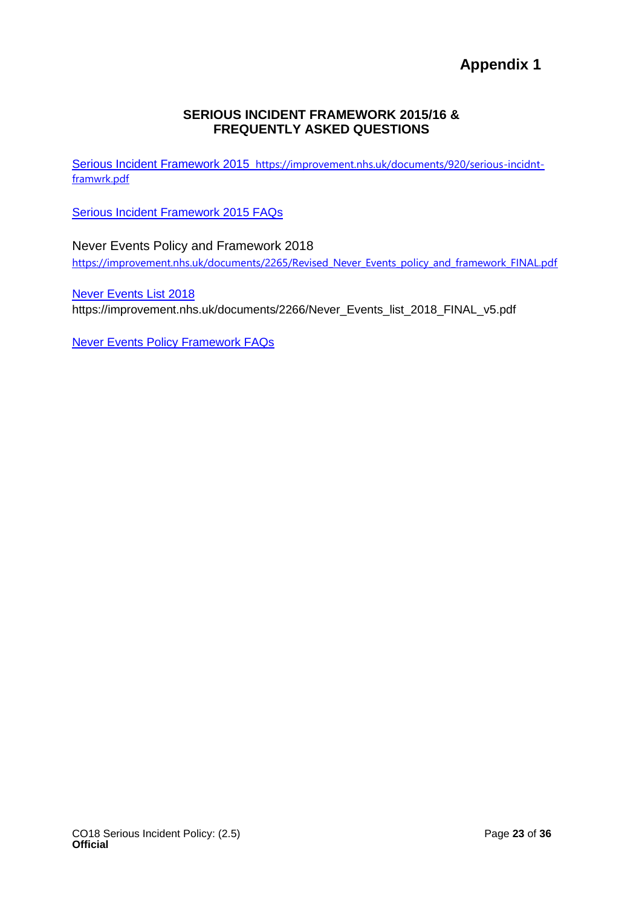**Appendix 1**

### **SERIOUS INCIDENT FRAMEWORK 2015/16 & FREQUENTLY ASKED QUESTIONS**

<span id="page-22-0"></span>[Serious Incident Framework 2015](http://www.england.nhs.uk/wp-content/uploads/2015/04/serious-incidnt-framwrk-upd.pdf) https://improvement.nhs.uk/documents/920/serious-incidntframwrk.pdf

[Serious Incident Framework 2015 FAQs](http://www.england.nhs.uk/wp-content/uploads/2015/03/serious-incident-framwrk-15-16-faqs-fin.pdf)

Never Events Policy and Framework 2018 https://improvement.nhs.uk/documents/2265/Revised\_Never\_Events\_policy\_and\_framework\_FINAL.pdf

[Never Events List 2018](http://www.england.nhs.uk/wp-content/uploads/2015/03/never-evnts-list-15-16.pdf) https://improvement.nhs.uk/documents/2266/Never\_Events\_list\_2018\_FINAL\_v5.pdf

[Never Events Policy Framework FAQs](http://www.england.nhs.uk/wp-content/uploads/2015/03/nepf-faqs.pdf)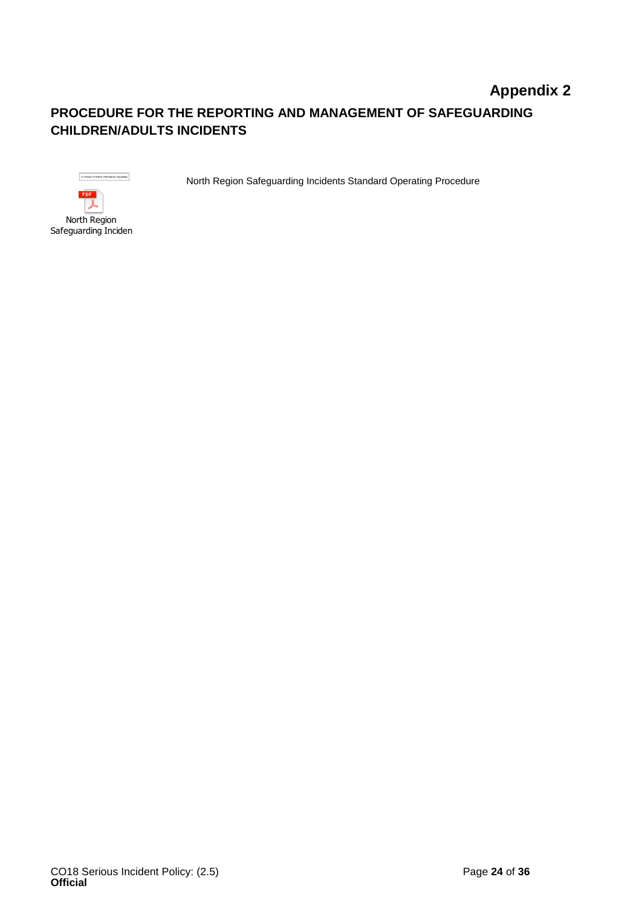### <span id="page-23-0"></span>**Appendix 2 PROCEDURE FOR THE REPORTING AND MANAGEMENT OF SAFEGUARDING CHILDREN/ADULTS INCIDENTS**

St closed or further information requested PDF

North Region Safeguarding Incidents North Region Safeguarding Incidents Standard Operating Procedure

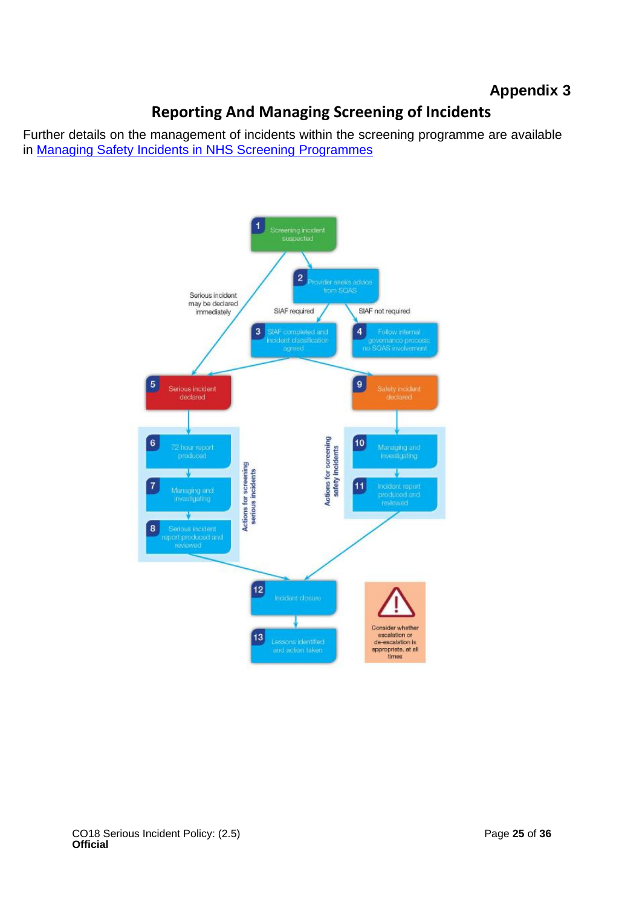### **Appendix 3**

### **Reporting And Managing Screening of Incidents**

<span id="page-24-0"></span>Further details on the management of incidents within the screening programme are available in [Managing Safety Incidents in NHS Screening Programmes](https://www.gov.uk/government/uploads/system/uploads/attachment_data/file/638411/managing_safety_incidents_in_national_screening_programmes.pdf)

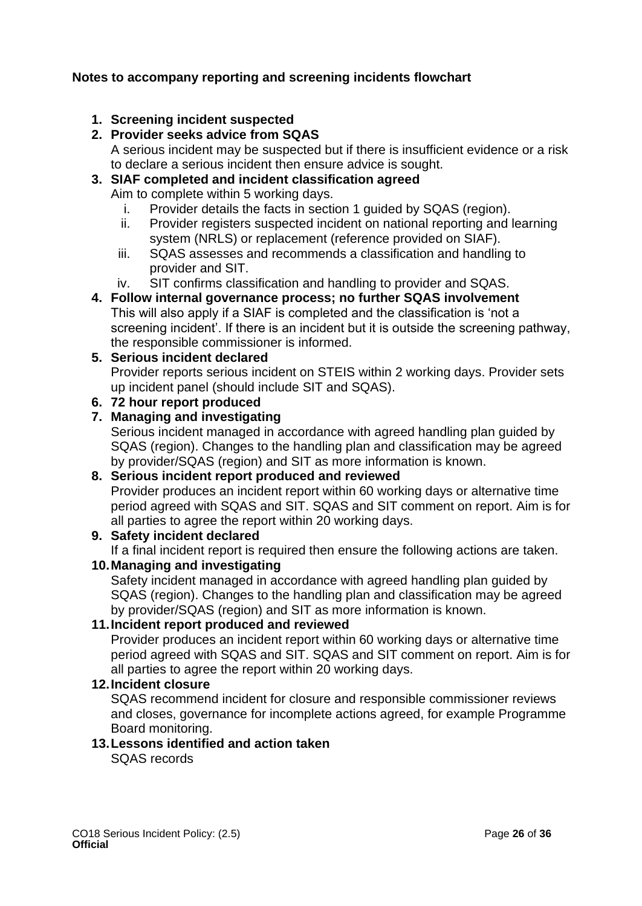### **Notes to accompany reporting and screening incidents flowchart**

### **1. Screening incident suspected**

### **2. Provider seeks advice from SQAS**

A serious incident may be suspected but if there is insufficient evidence or a risk to declare a serious incident then ensure advice is sought.

## **3. SIAF completed and incident classification agreed**

Aim to complete within 5 working days.

- i. Provider details the facts in section 1 guided by SQAS (region).
- ii. Provider registers suspected incident on national reporting and learning system (NRLS) or replacement (reference provided on SIAF).
- iii. SQAS assesses and recommends a classification and handling to provider and SIT.
- iv. SIT confirms classification and handling to provider and SQAS.

### **4. Follow internal governance process; no further SQAS involvement**

This will also apply if a SIAF is completed and the classification is 'not a screening incident'. If there is an incident but it is outside the screening pathway, the responsible commissioner is informed.

### **5. Serious incident declared**

Provider reports serious incident on STEIS within 2 working days. Provider sets up incident panel (should include SIT and SQAS).

### **6. 72 hour report produced**

### **7. Managing and investigating**

Serious incident managed in accordance with agreed handling plan guided by SQAS (region). Changes to the handling plan and classification may be agreed by provider/SQAS (region) and SIT as more information is known.

### **8. Serious incident report produced and reviewed**

Provider produces an incident report within 60 working days or alternative time period agreed with SQAS and SIT. SQAS and SIT comment on report. Aim is for all parties to agree the report within 20 working days.

### **9. Safety incident declared**

If a final incident report is required then ensure the following actions are taken.

### **10.Managing and investigating**

Safety incident managed in accordance with agreed handling plan guided by SQAS (region). Changes to the handling plan and classification may be agreed by provider/SQAS (region) and SIT as more information is known.

### **11.Incident report produced and reviewed**

Provider produces an incident report within 60 working days or alternative time period agreed with SQAS and SIT. SQAS and SIT comment on report. Aim is for all parties to agree the report within 20 working days.

### **12.Incident closure**

SQAS recommend incident for closure and responsible commissioner reviews and closes, governance for incomplete actions agreed, for example Programme Board monitoring.

### **13.Lessons identified and action taken**

SQAS records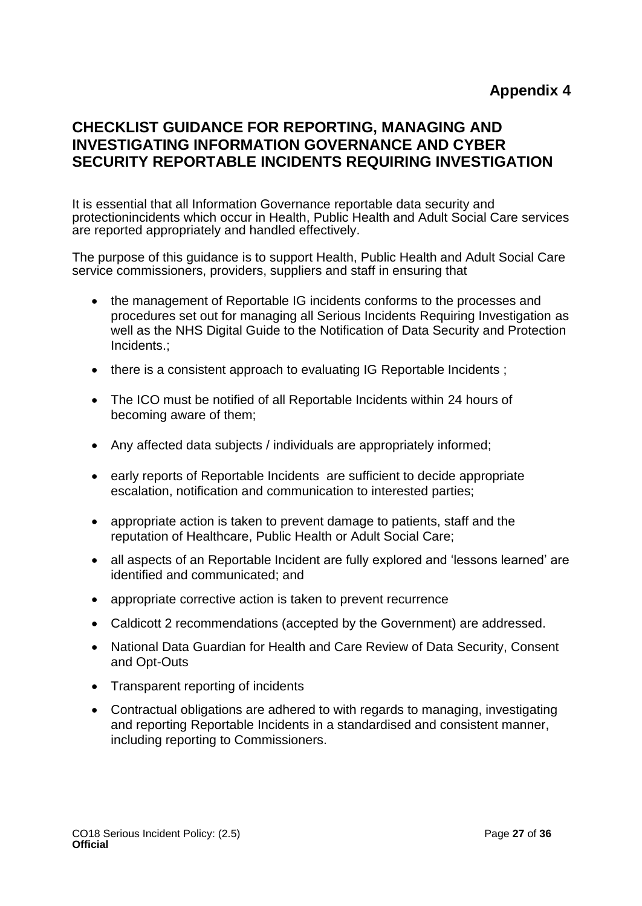### <span id="page-26-0"></span>**CHECKLIST GUIDANCE FOR REPORTING, MANAGING AND INVESTIGATING INFORMATION GOVERNANCE AND CYBER SECURITY REPORTABLE INCIDENTS REQUIRING INVESTIGATION**

It is essential that all Information Governance reportable data security and protectionincidents which occur in Health, Public Health and Adult Social Care services are reported appropriately and handled effectively.

The purpose of this guidance is to support Health, Public Health and Adult Social Care service commissioners, providers, suppliers and staff in ensuring that

- the management of Reportable IG incidents conforms to the processes and procedures set out for managing all Serious Incidents Requiring Investigation as well as the NHS Digital Guide to the Notification of Data Security and Protection Incidents.;
- there is a consistent approach to evaluating IG Reportable Incidents;
- The ICO must be notified of all Reportable Incidents within 24 hours of becoming aware of them;
- Any affected data subjects / individuals are appropriately informed;
- early reports of Reportable Incidents are sufficient to decide appropriate escalation, notification and communication to interested parties;
- appropriate action is taken to prevent damage to patients, staff and the reputation of Healthcare, Public Health or Adult Social Care;
- all aspects of an Reportable Incident are fully explored and 'lessons learned' are identified and communicated; and
- appropriate corrective action is taken to prevent recurrence
- Caldicott 2 recommendations (accepted by the Government) are addressed.
- National Data Guardian for Health and Care Review of Data Security, Consent and Opt-Outs
- Transparent reporting of incidents
- Contractual obligations are adhered to with regards to managing, investigating and reporting Reportable Incidents in a standardised and consistent manner, including reporting to Commissioners.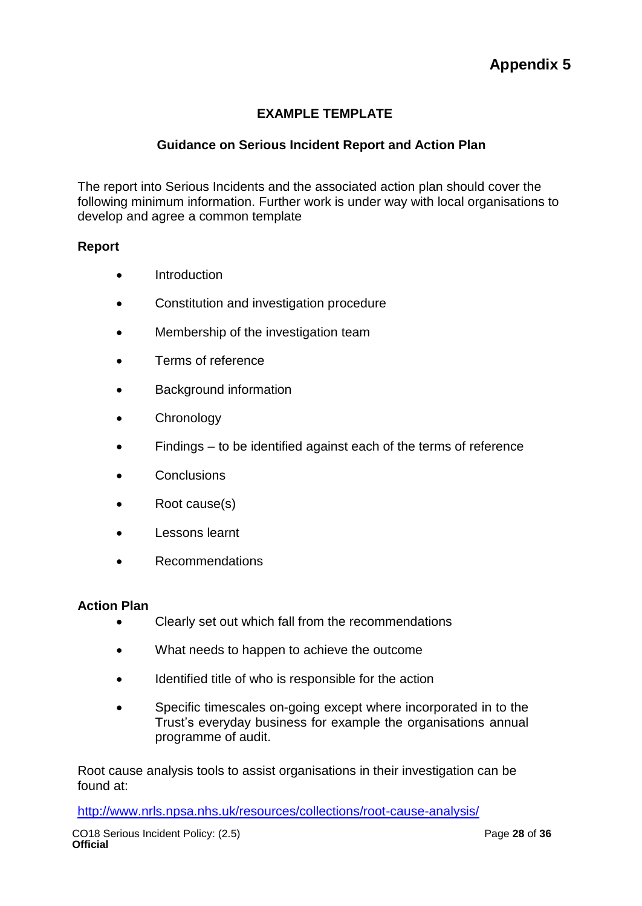### **EXAMPLE TEMPLATE**

### <span id="page-27-0"></span>**Guidance on Serious Incident Report and Action Plan**

The report into Serious Incidents and the associated action plan should cover the following minimum information. Further work is under way with local organisations to develop and agree a common template

#### **Report**

- Introduction
- Constitution and investigation procedure
- Membership of the investigation team
- Terms of reference
- Background information
- Chronology
- Findings to be identified against each of the terms of reference
- **Conclusions**
- Root cause(s)
- Lessons learnt
- Recommendations

#### **Action Plan**

- Clearly set out which fall from the recommendations
- What needs to happen to achieve the outcome
- Identified title of who is responsible for the action
- Specific timescales on-going except where incorporated in to the Trust's everyday business for example the organisations annual programme of audit.

Root cause analysis tools to assist organisations in their investigation can be found at:

<http://www.nrls.npsa.nhs.uk/resources/collections/root-cause-analysis/>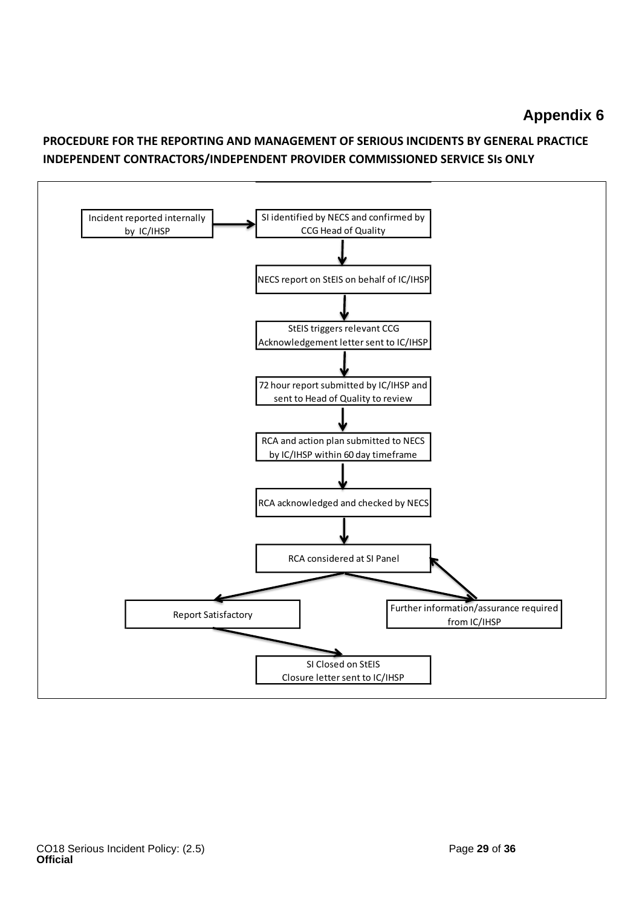### **Appendix 6**

### <span id="page-28-0"></span>**PROCEDURE FOR THE REPORTING AND MANAGEMENT OF SERIOUS INCIDENTS BY GENERAL PRACTICE INDEPENDENT CONTRACTORS/INDEPENDENT PROVIDER COMMISSIONED SERVICE SIs ONLY**

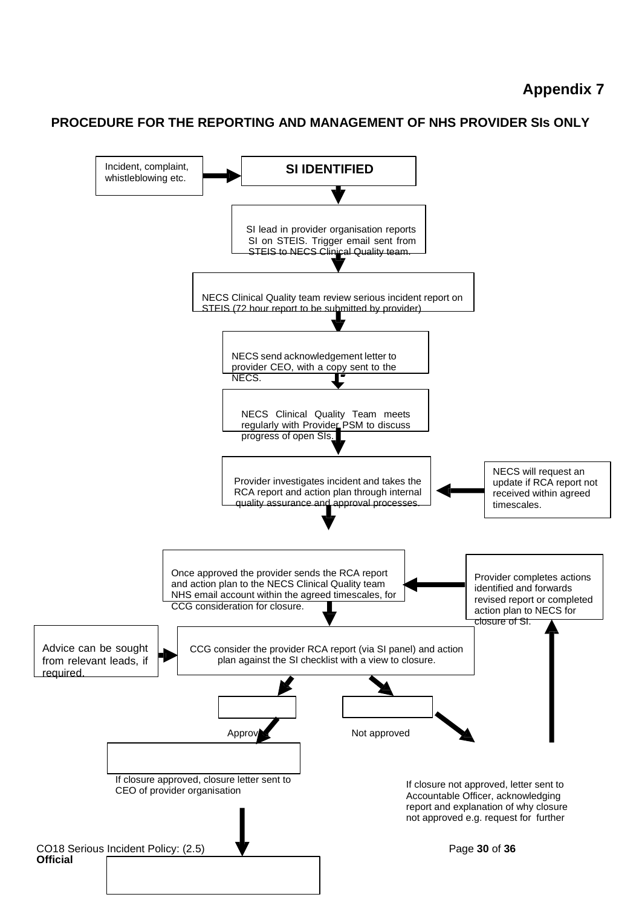### **Appendix 7**

### <span id="page-29-0"></span>**PROCEDURE FOR THE REPORTING AND MANAGEMENT OF NHS PROVIDER SIs ONLY**

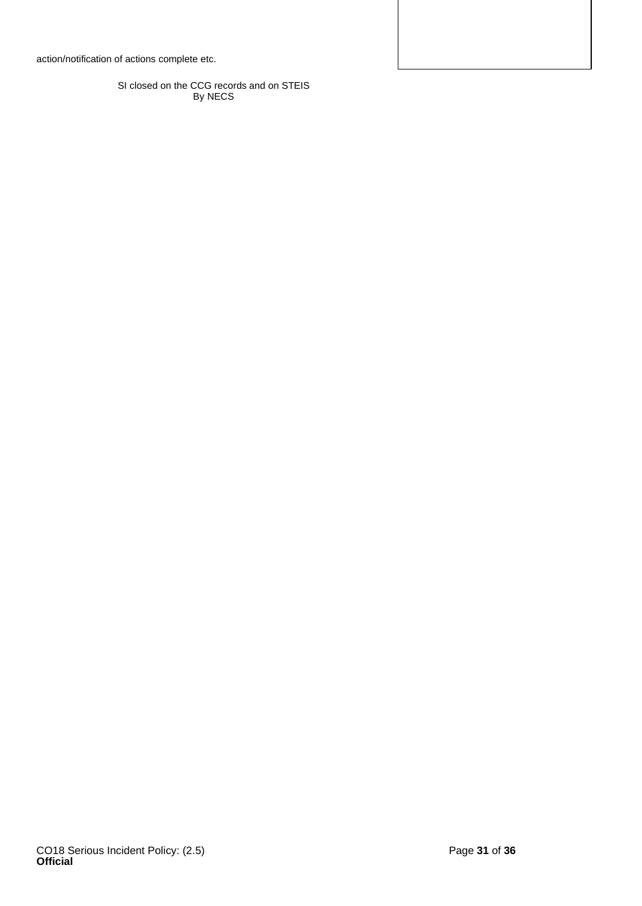action/notification of actions complete etc.

SI closed on the CCG records and on STEIS By NECS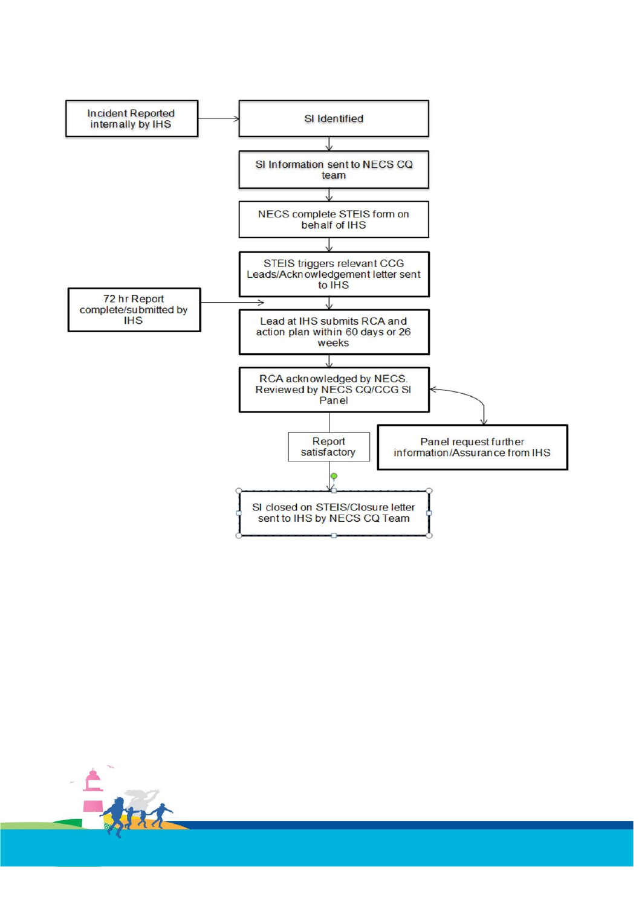

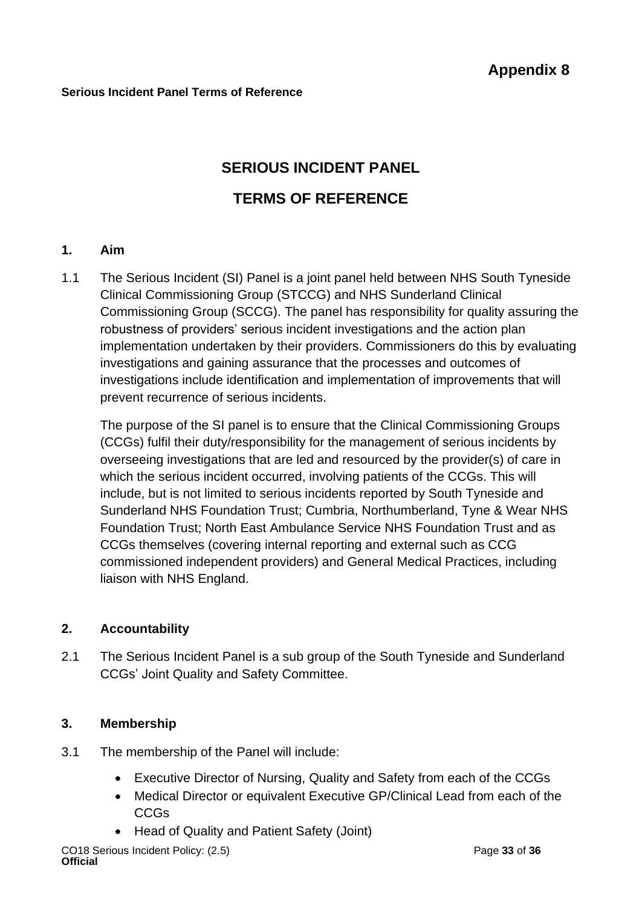# **SERIOUS INCIDENT PANEL TERMS OF REFERENCE**

### **1. Aim**

1.1 The Serious Incident (SI) Panel is a joint panel held between NHS South Tyneside Clinical Commissioning Group (STCCG) and NHS Sunderland Clinical Commissioning Group (SCCG). The panel has responsibility for quality assuring the robustness of providers' serious incident investigations and the action plan implementation undertaken by their providers. Commissioners do this by evaluating investigations and gaining assurance that the processes and outcomes of investigations include identification and implementation of improvements that will prevent recurrence of serious incidents.

The purpose of the SI panel is to ensure that the Clinical Commissioning Groups (CCGs) fulfil their duty/responsibility for the management of serious incidents by overseeing investigations that are led and resourced by the provider(s) of care in which the serious incident occurred, involving patients of the CCGs. This will include, but is not limited to serious incidents reported by South Tyneside and Sunderland NHS Foundation Trust; Cumbria, Northumberland, Tyne & Wear NHS Foundation Trust; North East Ambulance Service NHS Foundation Trust and as CCGs themselves (covering internal reporting and external such as CCG commissioned independent providers) and General Medical Practices, including liaison with NHS England.

### **2. Accountability**

2.1 The Serious Incident Panel is a sub group of the South Tyneside and Sunderland CCGs' Joint Quality and Safety Committee.

### **3. Membership**

- 3.1 The membership of the Panel will include:
	- Executive Director of Nursing, Quality and Safety from each of the CCGs
	- Medical Director or equivalent Executive GP/Clinical Lead from each of the CCGs
	- Head of Quality and Patient Safety (Joint)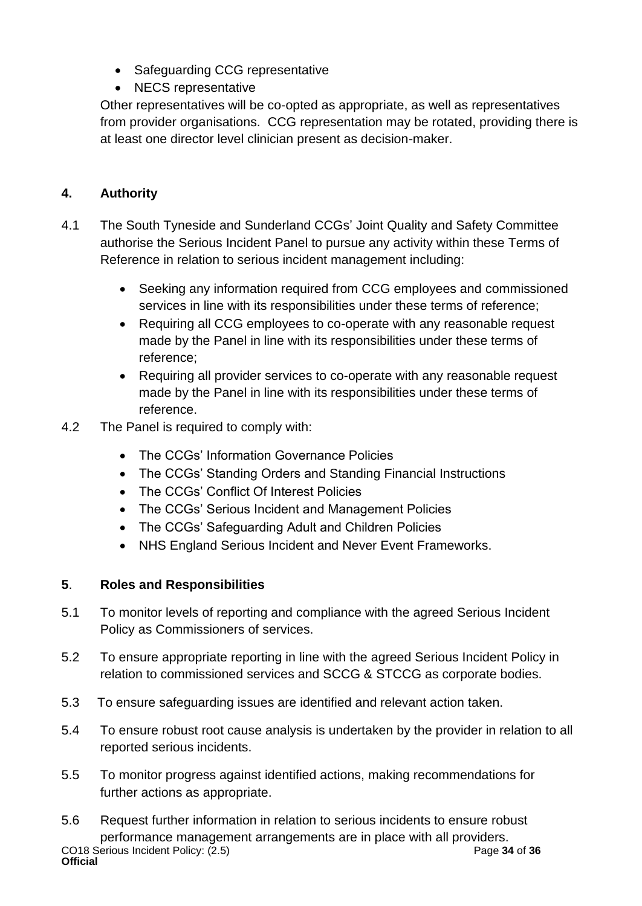- Safeguarding CCG representative
- NECS representative

Other representatives will be co-opted as appropriate, as well as representatives from provider organisations. CCG representation may be rotated, providing there is at least one director level clinician present as decision-maker.

### **4. Authority**

- 4.1 The South Tyneside and Sunderland CCGs' Joint Quality and Safety Committee authorise the Serious Incident Panel to pursue any activity within these Terms of Reference in relation to serious incident management including:
	- Seeking any information required from CCG employees and commissioned services in line with its responsibilities under these terms of reference;
	- Requiring all CCG employees to co-operate with any reasonable request made by the Panel in line with its responsibilities under these terms of reference;
	- Requiring all provider services to co-operate with any reasonable request made by the Panel in line with its responsibilities under these terms of reference.
- 4.2 The Panel is required to comply with:
	- The CCGs' Information Governance Policies
	- The CCGs' Standing Orders and Standing Financial Instructions
	- The CCGs' Conflict Of Interest Policies
	- The CCGs' Serious Incident and Management Policies
	- The CCGs' Safeguarding Adult and Children Policies
	- NHS England Serious Incident and Never Event Frameworks.

### **5**. **Roles and Responsibilities**

- 5.1 To monitor levels of reporting and compliance with the agreed Serious Incident Policy as Commissioners of services.
- 5.2 To ensure appropriate reporting in line with the agreed Serious Incident Policy in relation to commissioned services and SCCG & STCCG as corporate bodies.
- 5.3 To ensure safeguarding issues are identified and relevant action taken.
- 5.4 To ensure robust root cause analysis is undertaken by the provider in relation to all reported serious incidents.
- 5.5 To monitor progress against identified actions, making recommendations for further actions as appropriate.
- CO18 Serious Incident Policy: (2.5) Page **34** of **36 Official** 5.6 Request further information in relation to serious incidents to ensure robust performance management arrangements are in place with all providers.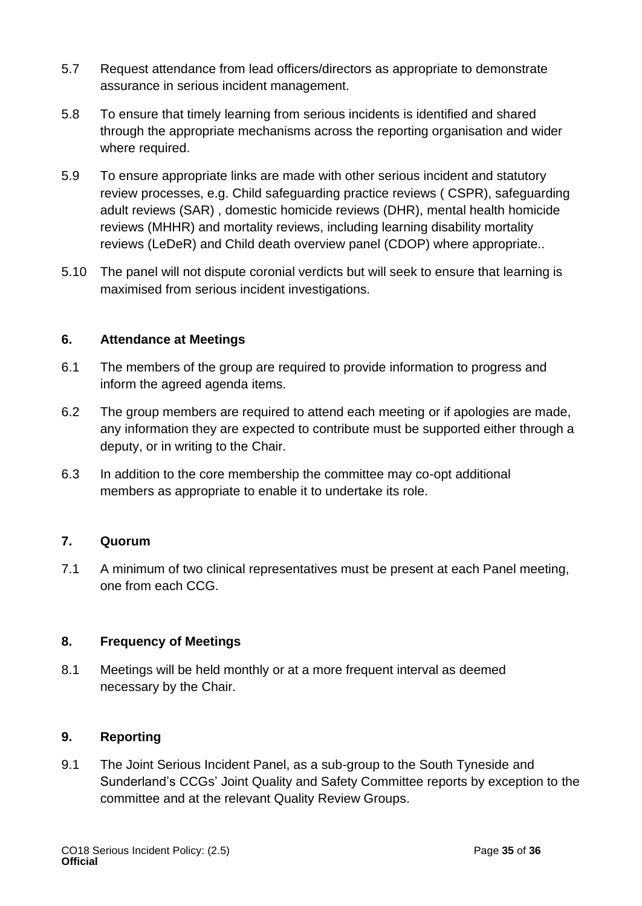- 5.7 Request attendance from lead officers/directors as appropriate to demonstrate assurance in serious incident management.
- 5.8 To ensure that timely learning from serious incidents is identified and shared through the appropriate mechanisms across the reporting organisation and wider where required.
- 5.9 To ensure appropriate links are made with other serious incident and statutory review processes, e.g. Child safeguarding practice reviews ( CSPR), safeguarding adult reviews (SAR) , domestic homicide reviews (DHR), mental health homicide reviews (MHHR) and mortality reviews, including learning disability mortality reviews (LeDeR) and Child death overview panel (CDOP) where appropriate..
- 5.10 The panel will not dispute coronial verdicts but will seek to ensure that learning is maximised from serious incident investigations.

### **6. Attendance at Meetings**

- 6.1 The members of the group are required to provide information to progress and inform the agreed agenda items.
- 6.2 The group members are required to attend each meeting or if apologies are made, any information they are expected to contribute must be supported either through a deputy, or in writing to the Chair.
- 6.3 In addition to the core membership the committee may co-opt additional members as appropriate to enable it to undertake its role.

### **7. Quorum**

7.1 A minimum of two clinical representatives must be present at each Panel meeting, one from each CCG.

### **8. Frequency of Meetings**

8.1 Meetings will be held monthly or at a more frequent interval as deemed necessary by the Chair.

### **9. Reporting**

9.1 The Joint Serious Incident Panel, as a sub-group to the South Tyneside and Sunderland's CCGs' Joint Quality and Safety Committee reports by exception to the committee and at the relevant Quality Review Groups.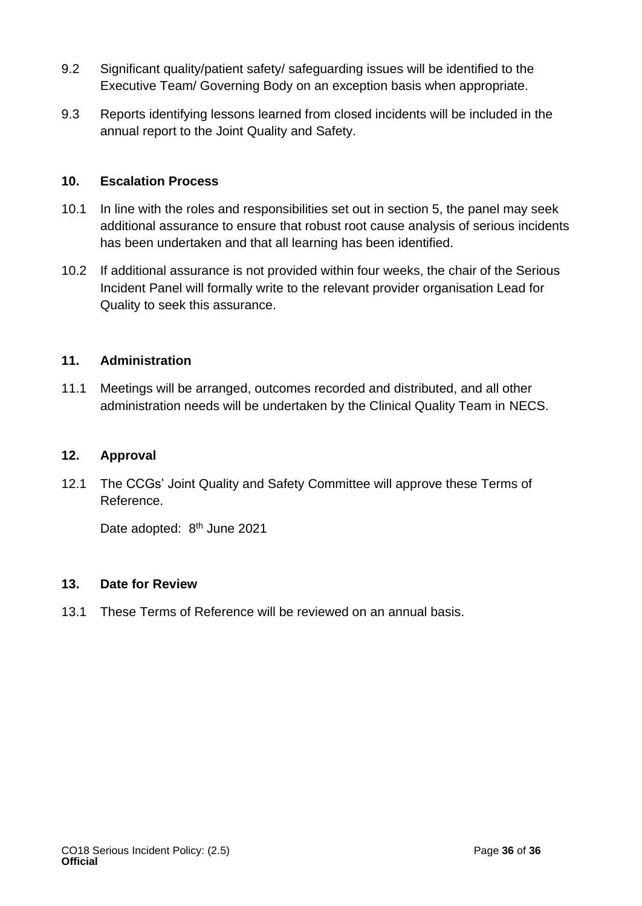- 9.2 Significant quality/patient safety/ safeguarding issues will be identified to the Executive Team/ Governing Body on an exception basis when appropriate.
- 9.3 Reports identifying lessons learned from closed incidents will be included in the annual report to the Joint Quality and Safety.

### **10. Escalation Process**

- 10.1 In line with the roles and responsibilities set out in section 5, the panel may seek additional assurance to ensure that robust root cause analysis of serious incidents has been undertaken and that all learning has been identified.
- 10.2 If additional assurance is not provided within four weeks, the chair of the Serious Incident Panel will formally write to the relevant provider organisation Lead for Quality to seek this assurance.

### **11. Administration**

11.1 Meetings will be arranged, outcomes recorded and distributed, and all other administration needs will be undertaken by the Clinical Quality Team in NECS.

### **12. Approval**

12.1 The CCGs' Joint Quality and Safety Committee will approve these Terms of Reference.

Date adopted: 8<sup>th</sup> June 2021

### **13. Date for Review**

13.1 These Terms of Reference will be reviewed on an annual basis.